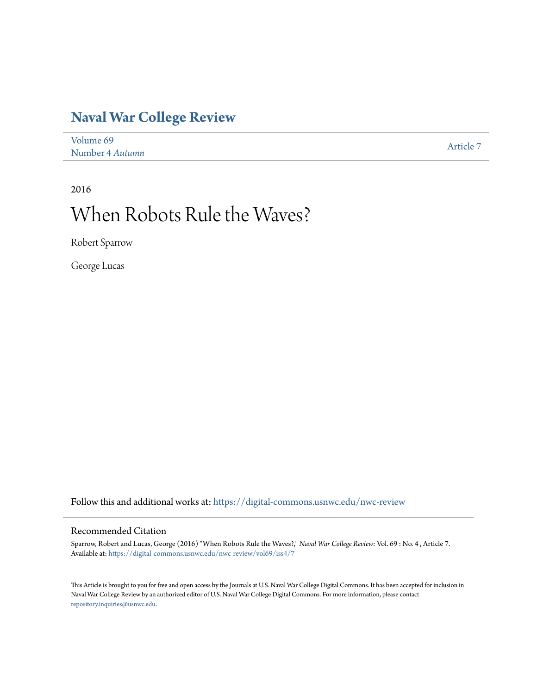## **[Naval War College Review](https://digital-commons.usnwc.edu/nwc-review?utm_source=digital-commons.usnwc.edu%2Fnwc-review%2Fvol69%2Fiss4%2F7&utm_medium=PDF&utm_campaign=PDFCoverPages)**

| Volume 69       | Article 7 |
|-----------------|-----------|
| Number 4 Autumn |           |

2016

# When Robots Rule the Waves?

Robert Sparrow

George Lucas

Follow this and additional works at: [https://digital-commons.usnwc.edu/nwc-review](https://digital-commons.usnwc.edu/nwc-review?utm_source=digital-commons.usnwc.edu%2Fnwc-review%2Fvol69%2Fiss4%2F7&utm_medium=PDF&utm_campaign=PDFCoverPages)

## Recommended Citation

Sparrow, Robert and Lucas, George (2016) "When Robots Rule the Waves?," *Naval War College Review*: Vol. 69 : No. 4 , Article 7. Available at: [https://digital-commons.usnwc.edu/nwc-review/vol69/iss4/7](https://digital-commons.usnwc.edu/nwc-review/vol69/iss4/7?utm_source=digital-commons.usnwc.edu%2Fnwc-review%2Fvol69%2Fiss4%2F7&utm_medium=PDF&utm_campaign=PDFCoverPages)

This Article is brought to you for free and open access by the Journals at U.S. Naval War College Digital Commons. It has been accepted for inclusion in Naval War College Review by an authorized editor of U.S. Naval War College Digital Commons. For more information, please contact [repository.inquiries@usnwc.edu](mailto:repository.inquiries@usnwc.edu).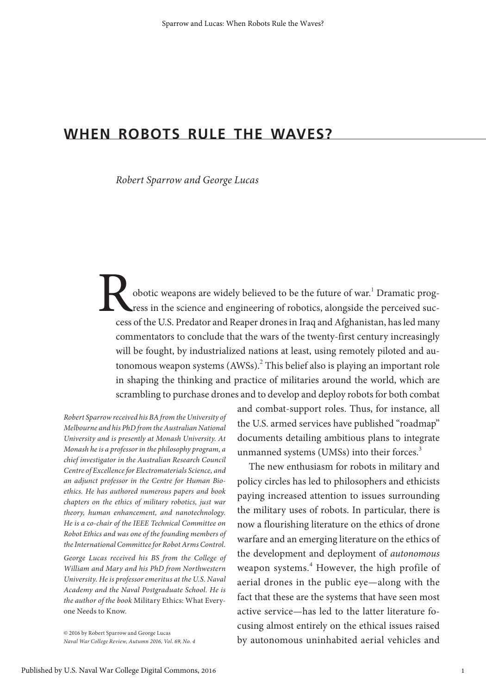## **WHEN ROBOTS RULE THE WAVES?**

*Robert Sparrow and George Lucas*

Pobotic weapons are widely believed to be the future of war.<sup>1</sup> ress in the science and engineering of robotics, alongside the cess of the U.S. Predator and Reaper drones in Iraq and Afghanist Dramatic progress in the science and engineering of robotics, alongside the perceived success of the U.S. Predator and Reaper drones in Iraq and Afghanistan, has led many commentators to conclude that the wars of the twenty-first century increasingly will be fought, by industrialized nations at least, using remotely piloted and autonomous weapon systems (AWSs).<sup>2</sup> This belief also is playing an important role in shaping the thinking and practice of militaries around the world, which are scrambling to purchase drones and to develop and deploy robots for both combat

*Robert Sparrow received his BA from the University of Melbourne and his PhD from the Australian National University and is presently at Monash University. At Monash he is a professor in the philosophy program, a chief investigator in the Australian Research Council Centre of Excellence for Electromaterials Science, and an adjunct professor in the Centre for Human Bioethics. He has authored numerous papers and book chapters on the ethics of military robotics, just war theory, human enhancement, and nanotechnology. He is a co-chair of the IEEE Technical Committee on Robot Ethics and was one of the founding members of the International Committee for Robot Arms Control. George Lucas received his BS from the College of William and Mary and his PhD from Northwestern University. He is professor emeritus at the U.S. Naval Academy and the Naval Postgraduate School. He is the author of the book* Military Ethics: What Everyone Needs to Know.

© 2016 by Robert Sparrow and George Lucas *Naval War College Review, Autumn 2016, Vol. 69, No. 4*

and combat-support roles. Thus, for instance, all the U.S. armed services have published "roadmap" documents detailing ambitious plans to integrate unmanned systems (UMSs) into their forces.<sup>3</sup>

The new enthusiasm for robots in military and policy circles has led to philosophers and ethicists paying increased attention to issues surrounding the military uses of robots. In particular, there is now a flourishing literature on the ethics of drone warfare and an emerging literature on the ethics of the development and deployment of *autonomous* weapon systems.<sup>4</sup> However, the high profile of aerial drones in the public eye—along with the fact that these are the systems that have seen most active service—has led to the latter literature focusing almost entirely on the ethical issues raised by autonomous uninhabited aerial vehicles and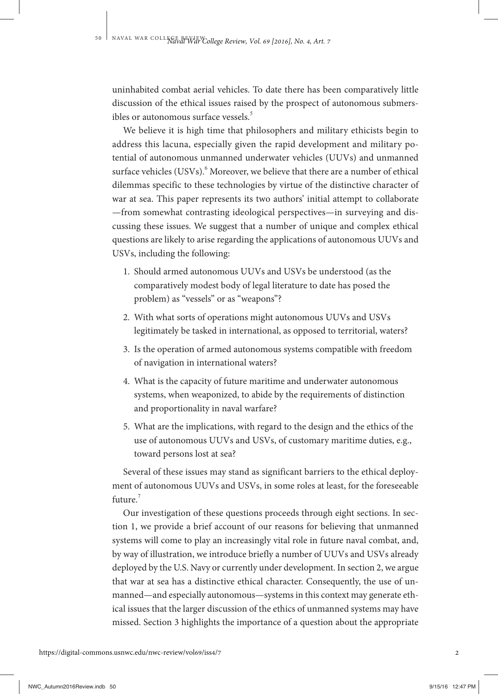uninhabited combat aerial vehicles. To date there has been comparatively little discussion of the ethical issues raised by the prospect of autonomous submersibles or autonomous surface vessels.<sup>5</sup>

We believe it is high time that philosophers and military ethicists begin to address this lacuna, especially given the rapid development and military potential of autonomous unmanned underwater vehicles (UUVs) and unmanned surface vehicles (USVs). $<sup>6</sup>$  Moreover, we believe that there are a number of ethical</sup> dilemmas specific to these technologies by virtue of the distinctive character of war at sea. This paper represents its two authors' initial attempt to collaborate —from somewhat contrasting ideological perspectives—in surveying and discussing these issues. We suggest that a number of unique and complex ethical questions are likely to arise regarding the applications of autonomous UUVs and USVs, including the following:

- 1. Should armed autonomous UUVs and USVs be understood (as the comparatively modest body of legal literature to date has posed the problem) as "vessels" or as "weapons"?
- 2. With what sorts of operations might autonomous UUVs and USVs legitimately be tasked in international, as opposed to territorial, waters?
- 3. Is the operation of armed autonomous systems compatible with freedom of navigation in international waters?
- 4. What is the capacity of future maritime and underwater autonomous systems, when weaponized, to abide by the requirements of distinction and proportionality in naval warfare?
- 5. What are the implications, with regard to the design and the ethics of the use of autonomous UUVs and USVs, of customary maritime duties, e.g., toward persons lost at sea?

Several of these issues may stand as significant barriers to the ethical deployment of autonomous UUVs and USVs, in some roles at least, for the foreseeable future<sup>7</sup>

Our investigation of these questions proceeds through eight sections. In section 1, we provide a brief account of our reasons for believing that unmanned systems will come to play an increasingly vital role in future naval combat, and, by way of illustration, we introduce briefly a number of UUVs and USVs already deployed by the U.S. Navy or currently under development. In section 2, we argue that war at sea has a distinctive ethical character. Consequently, the use of unmanned—and especially autonomous—systems in this context may generate ethical issues that the larger discussion of the ethics of unmanned systems may have missed. Section 3 highlights the importance of a question about the appropriate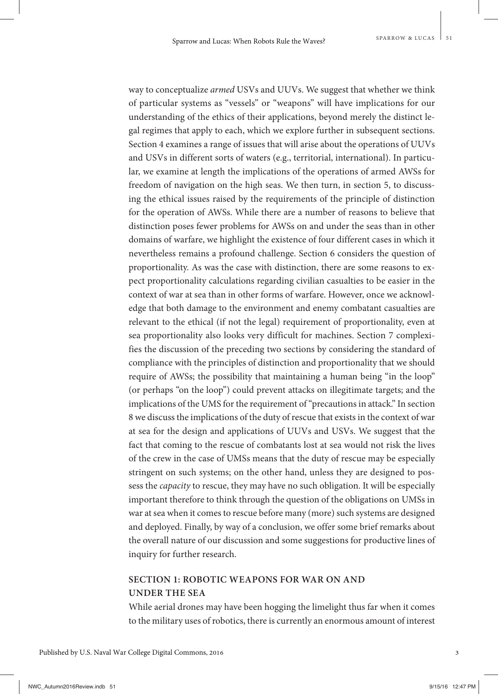way to conceptualize *armed* USVs and UUVs. We suggest that whether we think of particular systems as "vessels" or "weapons" will have implications for our understanding of the ethics of their applications, beyond merely the distinct legal regimes that apply to each, which we explore further in subsequent sections. Section 4 examines a range of issues that will arise about the operations of UUVs and USVs in different sorts of waters (e.g., territorial, international). In particular, we examine at length the implications of the operations of armed AWSs for freedom of navigation on the high seas. We then turn, in section 5, to discussing the ethical issues raised by the requirements of the principle of distinction for the operation of AWSs. While there are a number of reasons to believe that distinction poses fewer problems for AWSs on and under the seas than in other domains of warfare, we highlight the existence of four different cases in which it nevertheless remains a profound challenge. Section 6 considers the question of proportionality. As was the case with distinction, there are some reasons to expect proportionality calculations regarding civilian casualties to be easier in the context of war at sea than in other forms of warfare. However, once we acknowledge that both damage to the environment and enemy combatant casualties are relevant to the ethical (if not the legal) requirement of proportionality, even at sea proportionality also looks very difficult for machines. Section 7 complexifies the discussion of the preceding two sections by considering the standard of compliance with the principles of distinction and proportionality that we should require of AWSs; the possibility that maintaining a human being "in the loop" (or perhaps "on the loop") could prevent attacks on illegitimate targets; and the implications of the UMS for the requirement of "precautions in attack." In section 8 we discuss the implications of the duty of rescue that exists in the context of war at sea for the design and applications of UUVs and USVs. We suggest that the fact that coming to the rescue of combatants lost at sea would not risk the lives of the crew in the case of UMSs means that the duty of rescue may be especially stringent on such systems; on the other hand, unless they are designed to possess the *capacity* to rescue, they may have no such obligation. It will be especially important therefore to think through the question of the obligations on UMSs in war at sea when it comes to rescue before many (more) such systems are designed and deployed. Finally, by way of a conclusion, we offer some brief remarks about the overall nature of our discussion and some suggestions for productive lines of inquiry for further research.

## **SECTION 1: ROBOTIC WEAPONS FOR WAR ON AND UNDER THE SEA**

While aerial drones may have been hogging the limelight thus far when it comes to the military uses of robotics, there is currently an enormous amount of interest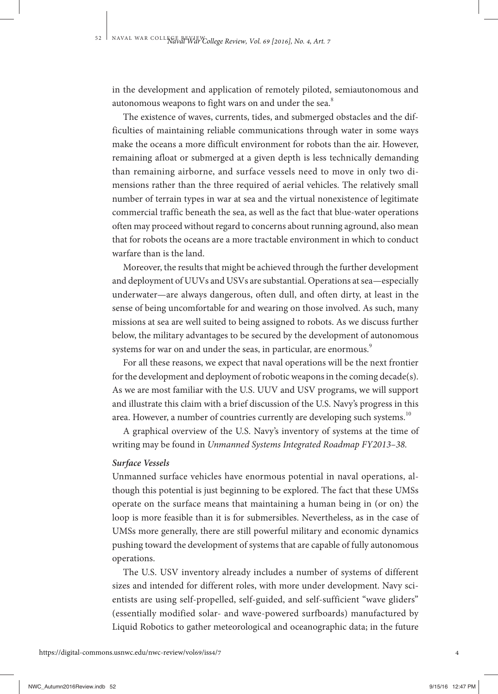in the development and application of remotely piloted, semiautonomous and autonomous weapons to fight wars on and under the sea.<sup>8</sup>

The existence of waves, currents, tides, and submerged obstacles and the difficulties of maintaining reliable communications through water in some ways make the oceans a more difficult environment for robots than the air. However, remaining afloat or submerged at a given depth is less technically demanding than remaining airborne, and surface vessels need to move in only two dimensions rather than the three required of aerial vehicles. The relatively small number of terrain types in war at sea and the virtual nonexistence of legitimate commercial traffic beneath the sea, as well as the fact that blue-water operations often may proceed without regard to concerns about running aground, also mean that for robots the oceans are a more tractable environment in which to conduct warfare than is the land.

Moreover, the results that might be achieved through the further development and deployment of UUVs and USVs are substantial. Operations at sea—especially underwater—are always dangerous, often dull, and often dirty, at least in the sense of being uncomfortable for and wearing on those involved. As such, many missions at sea are well suited to being assigned to robots. As we discuss further below, the military advantages to be secured by the development of autonomous systems for war on and under the seas, in particular, are enormous.<sup>9</sup>

For all these reasons, we expect that naval operations will be the next frontier for the development and deployment of robotic weapons in the coming decade(s). As we are most familiar with the U.S. UUV and USV programs, we will support and illustrate this claim with a brief discussion of the U.S. Navy's progress in this area. However, a number of countries currently are developing such systems.<sup>10</sup>

A graphical overview of the U.S. Navy's inventory of systems at the time of writing may be found in *Unmanned Systems Integrated Roadmap FY2013–38.*

#### *Surface Vessels*

Unmanned surface vehicles have enormous potential in naval operations, although this potential is just beginning to be explored. The fact that these UMSs operate on the surface means that maintaining a human being in (or on) the loop is more feasible than it is for submersibles. Nevertheless, as in the case of UMSs more generally, there are still powerful military and economic dynamics pushing toward the development of systems that are capable of fully autonomous operations.

The U.S. USV inventory already includes a number of systems of different sizes and intended for different roles, with more under development. Navy scientists are using self-propelled, self-guided, and self-sufficient "wave gliders" (essentially modified solar- and wave-powered surfboards) manufactured by Liquid Robotics to gather meteorological and oceanographic data; in the future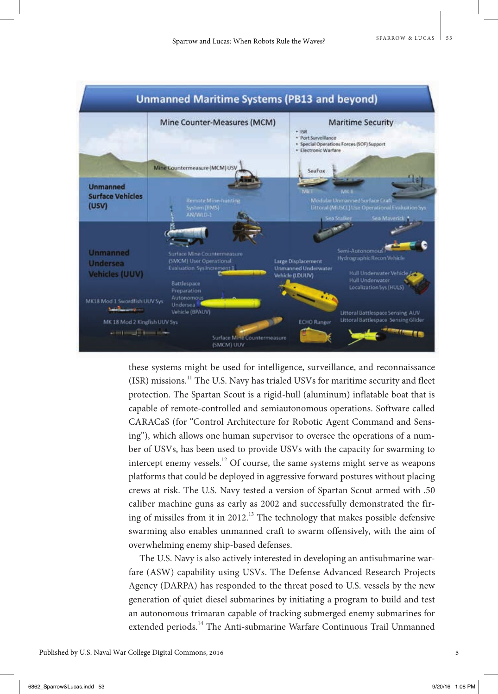

these systems might be used for intelligence, surveillance, and reconnaissance (ISR) missions.<sup>11</sup> The U.S. Navy has trialed USVs for maritime security and fleet protection. The Spartan Scout is a rigid-hull (aluminum) inflatable boat that is capable of remote-controlled and semiautonomous operations. Software called CARACaS (for "Control Architecture for Robotic Agent Command and Sensing"), which allows one human supervisor to oversee the operations of a number of USVs, has been used to provide USVs with the capacity for swarming to intercept enemy vessels.<sup>12</sup> Of course, the same systems might serve as weapons platforms that could be deployed in aggressive forward postures without placing crews at risk. The U.S. Navy tested a version of Spartan Scout armed with .50 caliber machine guns as early as 2002 and successfully demonstrated the firing of missiles from it in 2012.<sup>13</sup> The technology that makes possible defensive swarming also enables unmanned craft to swarm offensively, with the aim of overwhelming enemy ship-based defenses.

The U.S. Navy is also actively interested in developing an antisubmarine warfare (ASW) capability using USVs. The Defense Advanced Research Projects Agency (DARPA) has responded to the threat posed to U.S. vessels by the new generation of quiet diesel submarines by initiating a program to build and test an autonomous trimaran capable of tracking submerged enemy submarines for extended periods.<sup>14</sup> The Anti-submarine Warfare Continuous Trail Unmanned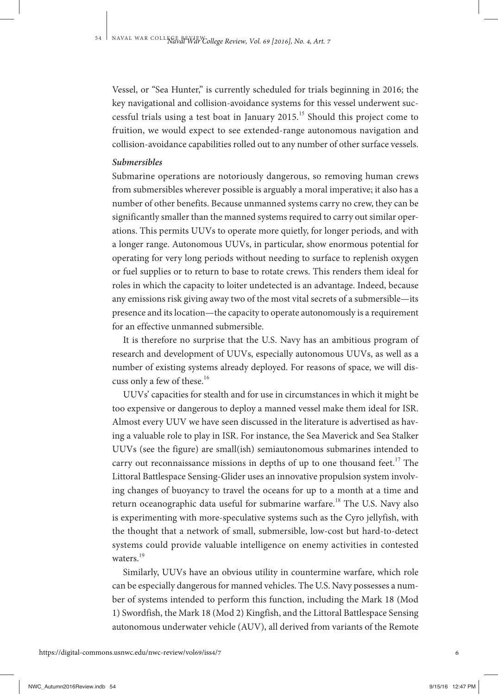Vessel, or "Sea Hunter," is currently scheduled for trials beginning in 2016; the key navigational and collision-avoidance systems for this vessel underwent successful trials using a test boat in January  $2015$ .<sup>15</sup> Should this project come to fruition, we would expect to see extended-range autonomous navigation and collision-avoidance capabilities rolled out to any number of other surface vessels.

#### *Submersibles*

Submarine operations are notoriously dangerous, so removing human crews from submersibles wherever possible is arguably a moral imperative; it also has a number of other benefits. Because unmanned systems carry no crew, they can be significantly smaller than the manned systems required to carry out similar operations. This permits UUVs to operate more quietly, for longer periods, and with a longer range. Autonomous UUVs, in particular, show enormous potential for operating for very long periods without needing to surface to replenish oxygen or fuel supplies or to return to base to rotate crews. This renders them ideal for roles in which the capacity to loiter undetected is an advantage. Indeed, because any emissions risk giving away two of the most vital secrets of a submersible—its presence and its location—the capacity to operate autonomously is a requirement for an effective unmanned submersible.

It is therefore no surprise that the U.S. Navy has an ambitious program of research and development of UUVs, especially autonomous UUVs, as well as a number of existing systems already deployed. For reasons of space, we will discuss only a few of these.<sup>16</sup>

UUVs' capacities for stealth and for use in circumstances in which it might be too expensive or dangerous to deploy a manned vessel make them ideal for ISR. Almost every UUV we have seen discussed in the literature is advertised as having a valuable role to play in ISR. For instance, the Sea Maverick and Sea Stalker UUVs (see the figure) are small(ish) semiautonomous submarines intended to carry out reconnaissance missions in depths of up to one thousand feet.<sup>17</sup> The Littoral Battlespace Sensing-Glider uses an innovative propulsion system involving changes of buoyancy to travel the oceans for up to a month at a time and return oceanographic data useful for submarine warfare.<sup>18</sup> The U.S. Navy also is experimenting with more-speculative systems such as the Cyro jellyfish, with the thought that a network of small, submersible, low-cost but hard-to-detect systems could provide valuable intelligence on enemy activities in contested waters.<sup>19</sup>

Similarly, UUVs have an obvious utility in countermine warfare, which role can be especially dangerous for manned vehicles. The U.S. Navy possesses a number of systems intended to perform this function, including the Mark 18 (Mod 1) Swordfish, the Mark 18 (Mod 2) Kingfish, and the Littoral Battlespace Sensing autonomous underwater vehicle (AUV), all derived from variants of the Remote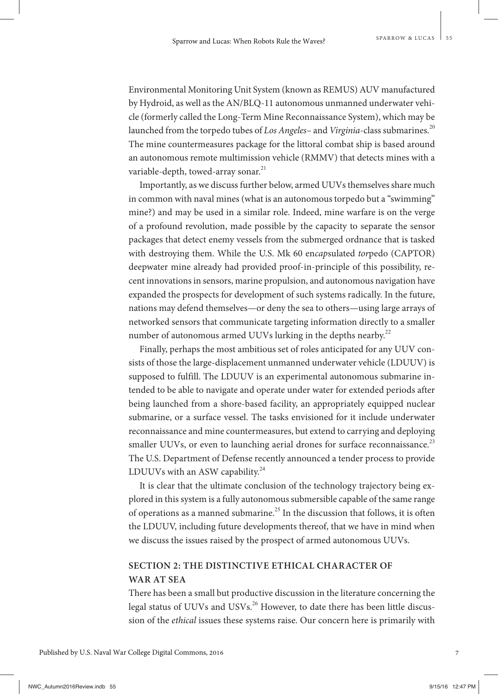Environmental Monitoring Unit System (known as REMUS) AUV manufactured by Hydroid, as well as the AN/BLQ-11 autonomous unmanned underwater vehicle (formerly called the Long-Term Mine Reconnaissance System), which may be launched from the torpedo tubes of *Los Angeles*- and *Virginia*-class submarines.<sup>20</sup> The mine countermeasures package for the littoral combat ship is based around an autonomous remote multimission vehicle (RMMV) that detects mines with a variable-depth, towed-array sonar.<sup>21</sup>

Importantly, as we discuss further below, armed UUVs themselves share much in common with naval mines (what is an autonomous torpedo but a "swimming" mine?) and may be used in a similar role. Indeed, mine warfare is on the verge of a profound revolution, made possible by the capacity to separate the sensor packages that detect enemy vessels from the submerged ordnance that is tasked with destroying them. While the U.S. Mk 60 en*cap*sulated *tor*pedo (CAPTOR) deepwater mine already had provided proof-in-principle of this possibility, recent innovations in sensors, marine propulsion, and autonomous navigation have expanded the prospects for development of such systems radically. In the future, nations may defend themselves—or deny the sea to others—using large arrays of networked sensors that communicate targeting information directly to a smaller number of autonomous armed UUVs lurking in the depths nearby.<sup>22</sup>

Finally, perhaps the most ambitious set of roles anticipated for any UUV consists of those the large-displacement unmanned underwater vehicle (LDUUV) is supposed to fulfill. The LDUUV is an experimental autonomous submarine intended to be able to navigate and operate under water for extended periods after being launched from a shore-based facility, an appropriately equipped nuclear submarine, or a surface vessel. The tasks envisioned for it include underwater reconnaissance and mine countermeasures, but extend to carrying and deploying smaller UUVs, or even to launching aerial drones for surface reconnaissance.<sup>23</sup> The U.S. Department of Defense recently announced a tender process to provide LDUUVs with an ASW capability. $^{24}$ 

It is clear that the ultimate conclusion of the technology trajectory being explored in this system is a fully autonomous submersible capable of the same range of operations as a manned submarine.<sup>25</sup> In the discussion that follows, it is often the LDUUV, including future developments thereof, that we have in mind when we discuss the issues raised by the prospect of armed autonomous UUVs.

## **SECTION 2: THE DISTINCTIVE ETHICAL CHARACTER OF WAR AT SEA**

There has been a small but productive discussion in the literature concerning the legal status of UUVs and USVs.<sup>26</sup> However, to date there has been little discussion of the *ethical* issues these systems raise. Our concern here is primarily with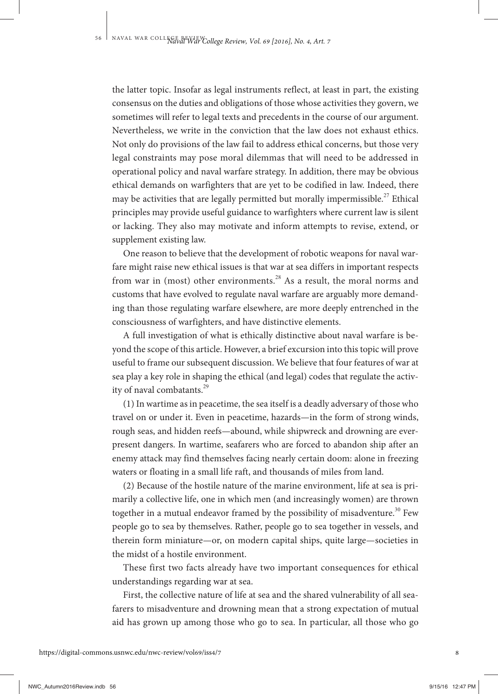the latter topic. Insofar as legal instruments reflect, at least in part, the existing consensus on the duties and obligations of those whose activities they govern, we sometimes will refer to legal texts and precedents in the course of our argument. Nevertheless, we write in the conviction that the law does not exhaust ethics. Not only do provisions of the law fail to address ethical concerns, but those very legal constraints may pose moral dilemmas that will need to be addressed in operational policy and naval warfare strategy. In addition, there may be obvious ethical demands on warfighters that are yet to be codified in law. Indeed, there may be activities that are legally permitted but morally impermissible.<sup>27</sup> Ethical principles may provide useful guidance to warfighters where current law is silent or lacking. They also may motivate and inform attempts to revise, extend, or supplement existing law.

One reason to believe that the development of robotic weapons for naval warfare might raise new ethical issues is that war at sea differs in important respects from war in (most) other environments.<sup>28</sup> As a result, the moral norms and customs that have evolved to regulate naval warfare are arguably more demanding than those regulating warfare elsewhere, are more deeply entrenched in the consciousness of warfighters, and have distinctive elements.

A full investigation of what is ethically distinctive about naval warfare is beyond the scope of this article. However, a brief excursion into this topic will prove useful to frame our subsequent discussion. We believe that four features of war at sea play a key role in shaping the ethical (and legal) codes that regulate the activity of naval combatants.<sup>29</sup>

(1) In wartime as in peacetime, the sea itself is a deadly adversary of those who travel on or under it. Even in peacetime, hazards—in the form of strong winds, rough seas, and hidden reefs—abound, while shipwreck and drowning are everpresent dangers. In wartime, seafarers who are forced to abandon ship after an enemy attack may find themselves facing nearly certain doom: alone in freezing waters or floating in a small life raft, and thousands of miles from land.

(2) Because of the hostile nature of the marine environment, life at sea is primarily a collective life, one in which men (and increasingly women) are thrown together in a mutual endeavor framed by the possibility of misadventure.<sup>30</sup> Few people go to sea by themselves. Rather, people go to sea together in vessels, and therein form miniature—or, on modern capital ships, quite large—societies in the midst of a hostile environment.

These first two facts already have two important consequences for ethical understandings regarding war at sea.

First, the collective nature of life at sea and the shared vulnerability of all seafarers to misadventure and drowning mean that a strong expectation of mutual aid has grown up among those who go to sea. In particular, all those who go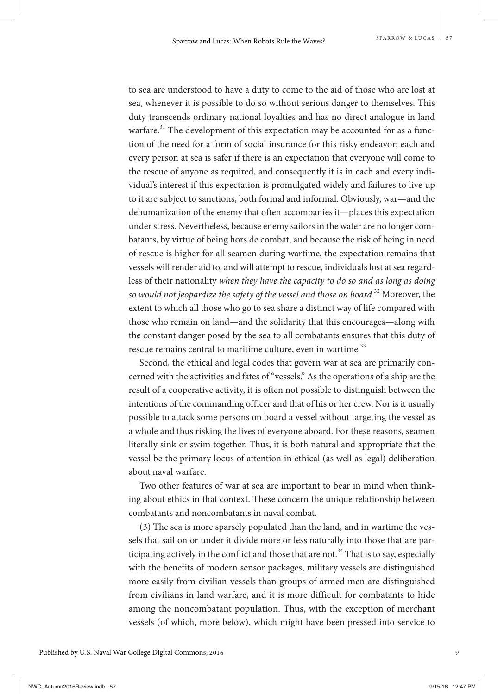to sea are understood to have a duty to come to the aid of those who are lost at sea, whenever it is possible to do so without serious danger to themselves. This duty transcends ordinary national loyalties and has no direct analogue in land warfare.<sup>31</sup> The development of this expectation may be accounted for as a function of the need for a form of social insurance for this risky endeavor; each and every person at sea is safer if there is an expectation that everyone will come to the rescue of anyone as required, and consequently it is in each and every individual's interest if this expectation is promulgated widely and failures to live up to it are subject to sanctions, both formal and informal. Obviously, war—and the dehumanization of the enemy that often accompanies it—places this expectation under stress. Nevertheless, because enemy sailors in the water are no longer combatants, by virtue of being hors de combat, and because the risk of being in need of rescue is higher for all seamen during wartime, the expectation remains that vessels will render aid to, and will attempt to rescue, individuals lost at sea regardless of their nationality *when they have the capacity to do so and as long as doing so would not jeopardize the safety of the vessel and those on board*. <sup>32</sup> Moreover, the extent to which all those who go to sea share a distinct way of life compared with those who remain on land—and the solidarity that this encourages—along with the constant danger posed by the sea to all combatants ensures that this duty of rescue remains central to maritime culture, even in wartime.<sup>33</sup>

Second, the ethical and legal codes that govern war at sea are primarily concerned with the activities and fates of "vessels." As the operations of a ship are the result of a cooperative activity, it is often not possible to distinguish between the intentions of the commanding officer and that of his or her crew. Nor is it usually possible to attack some persons on board a vessel without targeting the vessel as a whole and thus risking the lives of everyone aboard. For these reasons, seamen literally sink or swim together. Thus, it is both natural and appropriate that the vessel be the primary locus of attention in ethical (as well as legal) deliberation about naval warfare.

Two other features of war at sea are important to bear in mind when thinking about ethics in that context. These concern the unique relationship between combatants and noncombatants in naval combat.

(3) The sea is more sparsely populated than the land, and in wartime the vessels that sail on or under it divide more or less naturally into those that are participating actively in the conflict and those that are not.<sup>34</sup> That is to say, especially with the benefits of modern sensor packages, military vessels are distinguished more easily from civilian vessels than groups of armed men are distinguished from civilians in land warfare, and it is more difficult for combatants to hide among the noncombatant population. Thus, with the exception of merchant vessels (of which, more below), which might have been pressed into service to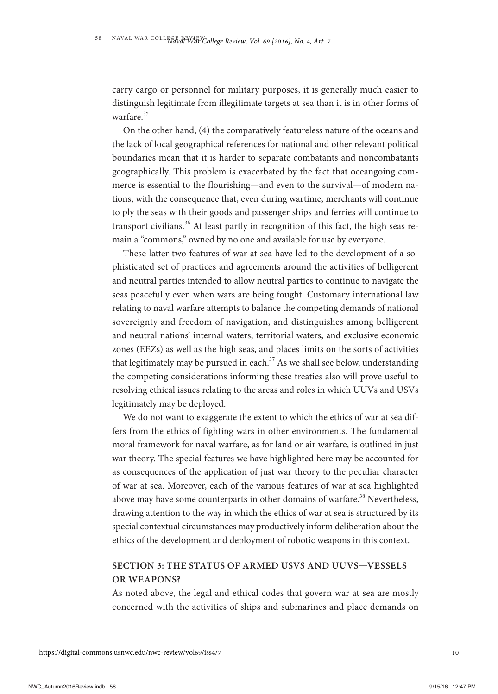carry cargo or personnel for military purposes, it is generally much easier to distinguish legitimate from illegitimate targets at sea than it is in other forms of warfare.<sup>35</sup>

On the other hand, (4) the comparatively featureless nature of the oceans and the lack of local geographical references for national and other relevant political boundaries mean that it is harder to separate combatants and noncombatants geographically. This problem is exacerbated by the fact that oceangoing commerce is essential to the flourishing—and even to the survival—of modern nations, with the consequence that, even during wartime, merchants will continue to ply the seas with their goods and passenger ships and ferries will continue to transport civilians.<sup>36</sup> At least partly in recognition of this fact, the high seas remain a "commons," owned by no one and available for use by everyone.

These latter two features of war at sea have led to the development of a sophisticated set of practices and agreements around the activities of belligerent and neutral parties intended to allow neutral parties to continue to navigate the seas peacefully even when wars are being fought. Customary international law relating to naval warfare attempts to balance the competing demands of national sovereignty and freedom of navigation, and distinguishes among belligerent and neutral nations' internal waters, territorial waters, and exclusive economic zones (EEZs) as well as the high seas, and places limits on the sorts of activities that legitimately may be pursued in each.<sup>37</sup> As we shall see below, understanding the competing considerations informing these treaties also will prove useful to resolving ethical issues relating to the areas and roles in which UUVs and USVs legitimately may be deployed.

We do not want to exaggerate the extent to which the ethics of war at sea differs from the ethics of fighting wars in other environments. The fundamental moral framework for naval warfare, as for land or air warfare, is outlined in just war theory. The special features we have highlighted here may be accounted for as consequences of the application of just war theory to the peculiar character of war at sea. Moreover, each of the various features of war at sea highlighted above may have some counterparts in other domains of warfare.<sup>38</sup> Nevertheless, drawing attention to the way in which the ethics of war at sea is structured by its special contextual circumstances may productively inform deliberation about the ethics of the development and deployment of robotic weapons in this context.

## **SECTION 3: THE STATUS OF ARMED USVS AND UUVS—VESSELS OR WEAPONS?**

As noted above, the legal and ethical codes that govern war at sea are mostly concerned with the activities of ships and submarines and place demands on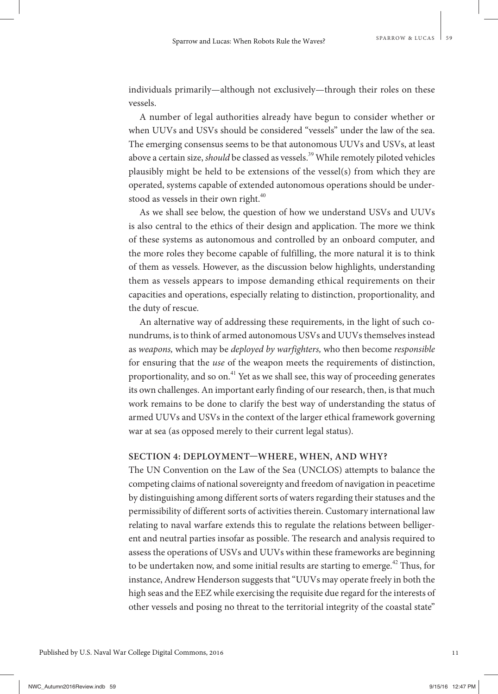individuals primarily—although not exclusively—through their roles on these vessels.

A number of legal authorities already have begun to consider whether or when UUVs and USVs should be considered "vessels" under the law of the sea. The emerging consensus seems to be that autonomous UUVs and USVs, at least above a certain size, *should* be classed as vessels.<sup>39</sup> While remotely piloted vehicles plausibly might be held to be extensions of the vessel(s) from which they are operated, systems capable of extended autonomous operations should be understood as vessels in their own right.<sup>40</sup>

As we shall see below, the question of how we understand USVs and UUVs is also central to the ethics of their design and application. The more we think of these systems as autonomous and controlled by an onboard computer, and the more roles they become capable of fulfilling, the more natural it is to think of them as vessels. However, as the discussion below highlights, understanding them as vessels appears to impose demanding ethical requirements on their capacities and operations, especially relating to distinction, proportionality, and the duty of rescue.

An alternative way of addressing these requirements, in the light of such conundrums, is to think of armed autonomous USVs and UUVs themselves instead as *weapons,* which may be *deployed by warfighters,* who then become *responsible*  for ensuring that the *use* of the weapon meets the requirements of distinction, proportionality, and so on.<sup>41</sup> Yet as we shall see, this way of proceeding generates its own challenges. An important early finding of our research, then, is that much work remains to be done to clarify the best way of understanding the status of armed UUVs and USVs in the context of the larger ethical framework governing war at sea (as opposed merely to their current legal status).

#### **SECTION 4: DEPLOYMENT—WHERE, WHEN, AND WHY?**

The UN Convention on the Law of the Sea (UNCLOS) attempts to balance the competing claims of national sovereignty and freedom of navigation in peacetime by distinguishing among different sorts of waters regarding their statuses and the permissibility of different sorts of activities therein. Customary international law relating to naval warfare extends this to regulate the relations between belligerent and neutral parties insofar as possible. The research and analysis required to assess the operations of USVs and UUVs within these frameworks are beginning to be undertaken now, and some initial results are starting to emerge.<sup>42</sup> Thus, for instance, Andrew Henderson suggests that "UUVs may operate freely in both the high seas and the EEZ while exercising the requisite due regard for the interests of other vessels and posing no threat to the territorial integrity of the coastal state"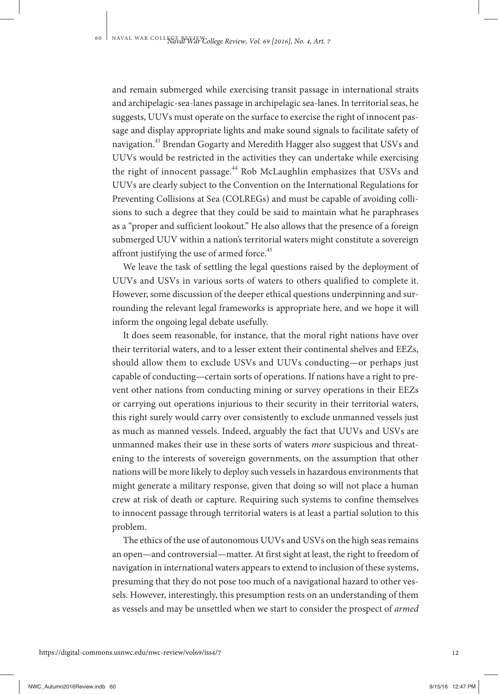and remain submerged while exercising transit passage in international straits and archipelagic-sea-lanes passage in archipelagic sea-lanes. In territorial seas, he suggests, UUVs must operate on the surface to exercise the right of innocent passage and display appropriate lights and make sound signals to facilitate safety of navigation.<sup>43</sup> Brendan Gogarty and Meredith Hagger also suggest that USVs and UUVs would be restricted in the activities they can undertake while exercising the right of innocent passage.<sup>44</sup> Rob McLaughlin emphasizes that USVs and UUVs are clearly subject to the Convention on the International Regulations for Preventing Collisions at Sea (COLREGs) and must be capable of avoiding collisions to such a degree that they could be said to maintain what he paraphrases as a "proper and sufficient lookout." He also allows that the presence of a foreign submerged UUV within a nation's territorial waters might constitute a sovereign affront justifying the use of armed force. $45$ 

We leave the task of settling the legal questions raised by the deployment of UUVs and USVs in various sorts of waters to others qualified to complete it. However, some discussion of the deeper ethical questions underpinning and surrounding the relevant legal frameworks is appropriate here, and we hope it will inform the ongoing legal debate usefully.

It does seem reasonable, for instance, that the moral right nations have over their territorial waters, and to a lesser extent their continental shelves and EEZs, should allow them to exclude USVs and UUVs conducting—or perhaps just capable of conducting—certain sorts of operations. If nations have a right to prevent other nations from conducting mining or survey operations in their EEZs or carrying out operations injurious to their security in their territorial waters, this right surely would carry over consistently to exclude unmanned vessels just as much as manned vessels. Indeed, arguably the fact that UUVs and USVs are unmanned makes their use in these sorts of waters *more* suspicious and threatening to the interests of sovereign governments, on the assumption that other nations will be more likely to deploy such vessels in hazardous environments that might generate a military response, given that doing so will not place a human crew at risk of death or capture. Requiring such systems to confine themselves to innocent passage through territorial waters is at least a partial solution to this problem.

The ethics of the use of autonomous UUVs and USVs on the high seas remains an open—and controversial—matter. At first sight at least, the right to freedom of navigation in international waters appears to extend to inclusion of these systems, presuming that they do not pose too much of a navigational hazard to other vessels. However, interestingly, this presumption rests on an understanding of them as vessels and may be unsettled when we start to consider the prospect of *armed*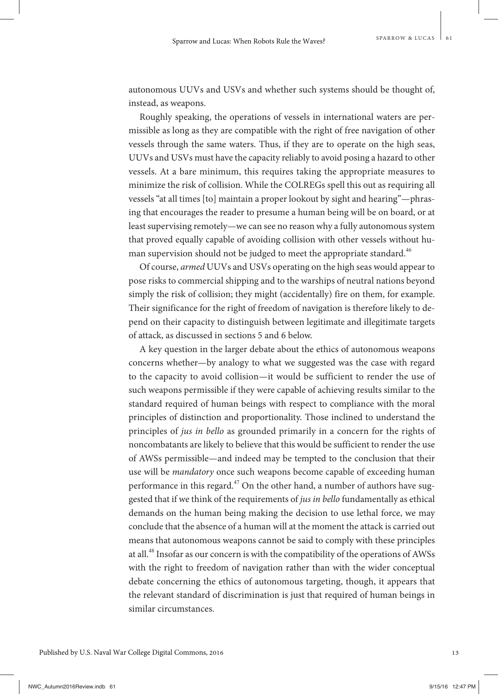autonomous UUVs and USVs and whether such systems should be thought of, instead, as weapons.

Roughly speaking, the operations of vessels in international waters are permissible as long as they are compatible with the right of free navigation of other vessels through the same waters. Thus, if they are to operate on the high seas, UUVs and USVs must have the capacity reliably to avoid posing a hazard to other vessels. At a bare minimum, this requires taking the appropriate measures to minimize the risk of collision. While the COLREGs spell this out as requiring all vessels "at all times [to] maintain a proper lookout by sight and hearing"—phrasing that encourages the reader to presume a human being will be on board, or at least supervising remotely—we can see no reason why a fully autonomous system that proved equally capable of avoiding collision with other vessels without human supervision should not be judged to meet the appropriate standard.<sup>46</sup>

Of course, *armed* UUVs and USVs operating on the high seas would appear to pose risks to commercial shipping and to the warships of neutral nations beyond simply the risk of collision; they might (accidentally) fire on them, for example. Their significance for the right of freedom of navigation is therefore likely to depend on their capacity to distinguish between legitimate and illegitimate targets of attack, as discussed in sections 5 and 6 below.

A key question in the larger debate about the ethics of autonomous weapons concerns whether—by analogy to what we suggested was the case with regard to the capacity to avoid collision—it would be sufficient to render the use of such weapons permissible if they were capable of achieving results similar to the standard required of human beings with respect to compliance with the moral principles of distinction and proportionality. Those inclined to understand the principles of *jus in bello* as grounded primarily in a concern for the rights of noncombatants are likely to believe that this would be sufficient to render the use of AWSs permissible—and indeed may be tempted to the conclusion that their use will be *mandatory* once such weapons become capable of exceeding human performance in this regard.<sup>47</sup> On the other hand, a number of authors have suggested that if we think of the requirements of *jus in bello* fundamentally as ethical demands on the human being making the decision to use lethal force, we may conclude that the absence of a human will at the moment the attack is carried out means that autonomous weapons cannot be said to comply with these principles at all.<sup>48</sup> Insofar as our concern is with the compatibility of the operations of AWSs with the right to freedom of navigation rather than with the wider conceptual debate concerning the ethics of autonomous targeting, though, it appears that the relevant standard of discrimination is just that required of human beings in similar circumstances.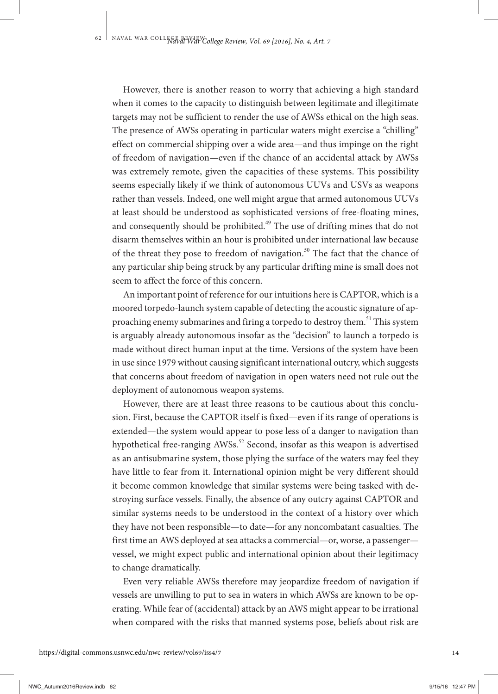However, there is another reason to worry that achieving a high standard when it comes to the capacity to distinguish between legitimate and illegitimate targets may not be sufficient to render the use of AWSs ethical on the high seas. The presence of AWSs operating in particular waters might exercise a "chilling" effect on commercial shipping over a wide area—and thus impinge on the right of freedom of navigation—even if the chance of an accidental attack by AWSs was extremely remote, given the capacities of these systems. This possibility seems especially likely if we think of autonomous UUVs and USVs as weapons rather than vessels. Indeed, one well might argue that armed autonomous UUVs at least should be understood as sophisticated versions of free-floating mines, and consequently should be prohibited.<sup>49</sup> The use of drifting mines that do not disarm themselves within an hour is prohibited under international law because of the threat they pose to freedom of navigation.<sup>50</sup> The fact that the chance of any particular ship being struck by any particular drifting mine is small does not seem to affect the force of this concern.

An important point of reference for our intuitions here is CAPTOR, which is a moored torpedo-launch system capable of detecting the acoustic signature of approaching enemy submarines and firing a torpedo to destroy them.<sup>51</sup> This system is arguably already autonomous insofar as the "decision" to launch a torpedo is made without direct human input at the time. Versions of the system have been in use since 1979 without causing significant international outcry, which suggests that concerns about freedom of navigation in open waters need not rule out the deployment of autonomous weapon systems.

However, there are at least three reasons to be cautious about this conclusion. First, because the CAPTOR itself is fixed—even if its range of operations is extended—the system would appear to pose less of a danger to navigation than hypothetical free-ranging  $AWSS$ <sup>52</sup> Second, insofar as this weapon is advertised as an antisubmarine system, those plying the surface of the waters may feel they have little to fear from it. International opinion might be very different should it become common knowledge that similar systems were being tasked with destroying surface vessels. Finally, the absence of any outcry against CAPTOR and similar systems needs to be understood in the context of a history over which they have not been responsible—to date—for any noncombatant casualties. The first time an AWS deployed at sea attacks a commercial—or, worse, a passenger vessel, we might expect public and international opinion about their legitimacy to change dramatically.

Even very reliable AWSs therefore may jeopardize freedom of navigation if vessels are unwilling to put to sea in waters in which AWSs are known to be operating. While fear of (accidental) attack by an AWS might appear to be irrational when compared with the risks that manned systems pose, beliefs about risk are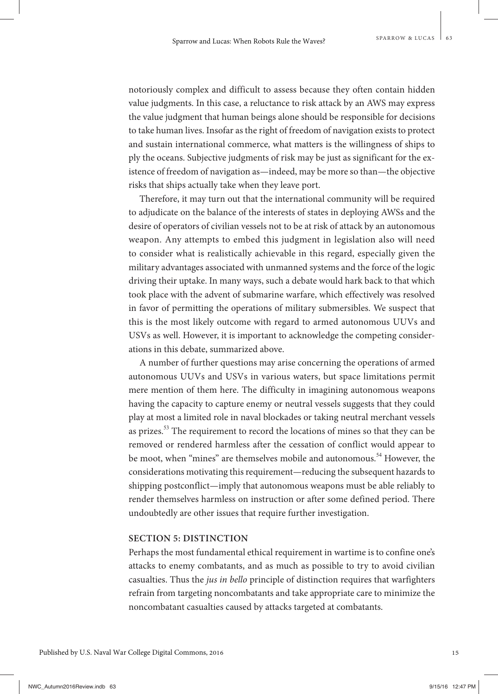notoriously complex and difficult to assess because they often contain hidden value judgments. In this case, a reluctance to risk attack by an AWS may express the value judgment that human beings alone should be responsible for decisions to take human lives. Insofar as the right of freedom of navigation exists to protect and sustain international commerce, what matters is the willingness of ships to ply the oceans. Subjective judgments of risk may be just as significant for the existence of freedom of navigation as—indeed, may be more so than—the objective risks that ships actually take when they leave port.

Therefore, it may turn out that the international community will be required to adjudicate on the balance of the interests of states in deploying AWSs and the desire of operators of civilian vessels not to be at risk of attack by an autonomous weapon. Any attempts to embed this judgment in legislation also will need to consider what is realistically achievable in this regard, especially given the military advantages associated with unmanned systems and the force of the logic driving their uptake. In many ways, such a debate would hark back to that which took place with the advent of submarine warfare, which effectively was resolved in favor of permitting the operations of military submersibles. We suspect that this is the most likely outcome with regard to armed autonomous UUVs and USVs as well. However, it is important to acknowledge the competing considerations in this debate, summarized above.

A number of further questions may arise concerning the operations of armed autonomous UUVs and USVs in various waters, but space limitations permit mere mention of them here. The difficulty in imagining autonomous weapons having the capacity to capture enemy or neutral vessels suggests that they could play at most a limited role in naval blockades or taking neutral merchant vessels as prizes.<sup>53</sup> The requirement to record the locations of mines so that they can be removed or rendered harmless after the cessation of conflict would appear to be moot, when "mines" are themselves mobile and autonomous.<sup>54</sup> However, the considerations motivating this requirement—reducing the subsequent hazards to shipping postconflict—imply that autonomous weapons must be able reliably to render themselves harmless on instruction or after some defined period. There undoubtedly are other issues that require further investigation.

### **SECTION 5: DISTINCTION**

Perhaps the most fundamental ethical requirement in wartime is to confine one's attacks to enemy combatants, and as much as possible to try to avoid civilian casualties. Thus the *jus in bello* principle of distinction requires that warfighters refrain from targeting noncombatants and take appropriate care to minimize the noncombatant casualties caused by attacks targeted at combatants.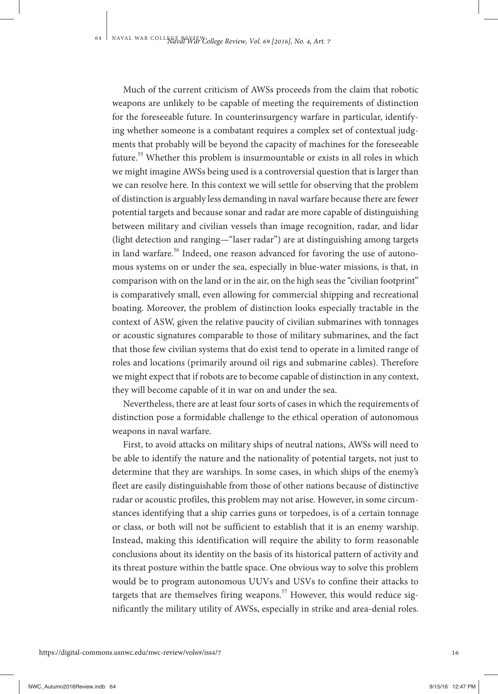Much of the current criticism of AWSs proceeds from the claim that robotic weapons are unlikely to be capable of meeting the requirements of distinction for the foreseeable future. In counterinsurgency warfare in particular, identifying whether someone is a combatant requires a complex set of contextual judgments that probably will be beyond the capacity of machines for the foreseeable future.<sup>55</sup> Whether this problem is insurmountable or exists in all roles in which we might imagine AWSs being used is a controversial question that is larger than we can resolve here. In this context we will settle for observing that the problem of distinction is arguably less demanding in naval warfare because there are fewer potential targets and because sonar and radar are more capable of distinguishing between military and civilian vessels than image recognition, radar, and lidar (light detection and ranging—"laser radar") are at distinguishing among targets in land warfare.<sup>56</sup> Indeed, one reason advanced for favoring the use of autonomous systems on or under the sea, especially in blue-water missions, is that, in comparison with on the land or in the air, on the high seas the "civilian footprint" is comparatively small, even allowing for commercial shipping and recreational boating. Moreover, the problem of distinction looks especially tractable in the context of ASW, given the relative paucity of civilian submarines with tonnages or acoustic signatures comparable to those of military submarines, and the fact that those few civilian systems that do exist tend to operate in a limited range of roles and locations (primarily around oil rigs and submarine cables). Therefore we might expect that if robots are to become capable of distinction in any context, they will become capable of it in war on and under the sea.

Nevertheless, there are at least four sorts of cases in which the requirements of distinction pose a formidable challenge to the ethical operation of autonomous weapons in naval warfare.

First, to avoid attacks on military ships of neutral nations, AWSs will need to be able to identify the nature and the nationality of potential targets, not just to determine that they are warships. In some cases, in which ships of the enemy's fleet are easily distinguishable from those of other nations because of distinctive radar or acoustic profiles, this problem may not arise. However, in some circumstances identifying that a ship carries guns or torpedoes, is of a certain tonnage or class, or both will not be sufficient to establish that it is an enemy warship. Instead, making this identification will require the ability to form reasonable conclusions about its identity on the basis of its historical pattern of activity and its threat posture within the battle space. One obvious way to solve this problem would be to program autonomous UUVs and USVs to confine their attacks to targets that are themselves firing weapons.<sup>57</sup> However, this would reduce significantly the military utility of AWSs, especially in strike and area-denial roles.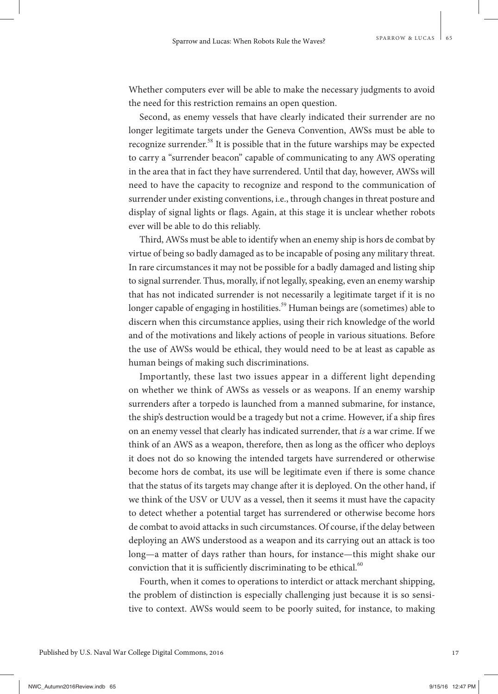Whether computers ever will be able to make the necessary judgments to avoid the need for this restriction remains an open question.

Second, as enemy vessels that have clearly indicated their surrender are no longer legitimate targets under the Geneva Convention, AWSs must be able to recognize surrender.<sup>58</sup> It is possible that in the future warships may be expected to carry a "surrender beacon" capable of communicating to any AWS operating in the area that in fact they have surrendered. Until that day, however, AWSs will need to have the capacity to recognize and respond to the communication of surrender under existing conventions, i.e., through changes in threat posture and display of signal lights or flags. Again, at this stage it is unclear whether robots ever will be able to do this reliably.

Third, AWSs must be able to identify when an enemy ship is hors de combat by virtue of being so badly damaged as to be incapable of posing any military threat. In rare circumstances it may not be possible for a badly damaged and listing ship to signal surrender. Thus, morally, if not legally, speaking, even an enemy warship that has not indicated surrender is not necessarily a legitimate target if it is no longer capable of engaging in hostilities.<sup>59</sup> Human beings are (sometimes) able to discern when this circumstance applies, using their rich knowledge of the world and of the motivations and likely actions of people in various situations. Before the use of AWSs would be ethical, they would need to be at least as capable as human beings of making such discriminations.

Importantly, these last two issues appear in a different light depending on whether we think of AWSs as vessels or as weapons. If an enemy warship surrenders after a torpedo is launched from a manned submarine, for instance, the ship's destruction would be a tragedy but not a crime. However, if a ship fires on an enemy vessel that clearly has indicated surrender, that *is* a war crime. If we think of an AWS as a weapon, therefore, then as long as the officer who deploys it does not do so knowing the intended targets have surrendered or otherwise become hors de combat, its use will be legitimate even if there is some chance that the status of its targets may change after it is deployed. On the other hand, if we think of the USV or UUV as a vessel, then it seems it must have the capacity to detect whether a potential target has surrendered or otherwise become hors de combat to avoid attacks in such circumstances. Of course, if the delay between deploying an AWS understood as a weapon and its carrying out an attack is too long—a matter of days rather than hours, for instance—this might shake our conviction that it is sufficiently discriminating to be ethical. $60$ 

Fourth, when it comes to operations to interdict or attack merchant shipping, the problem of distinction is especially challenging just because it is so sensitive to context. AWSs would seem to be poorly suited, for instance, to making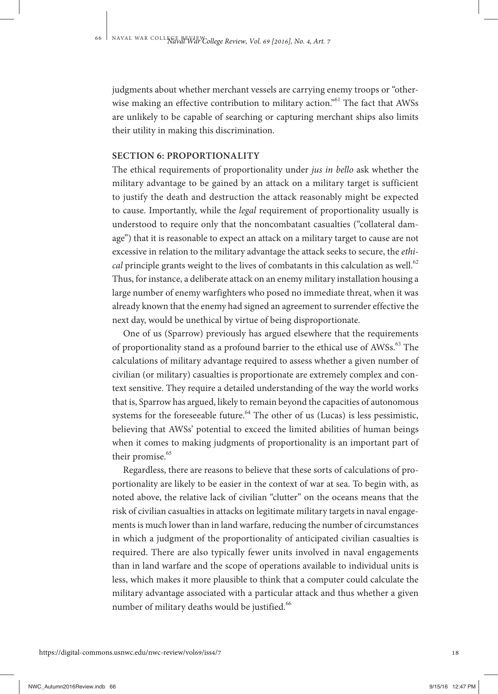judgments about whether merchant vessels are carrying enemy troops or "otherwise making an effective contribution to military action."<sup>61</sup> The fact that AWSs are unlikely to be capable of searching or capturing merchant ships also limits their utility in making this discrimination.

#### **SECTION 6: PROPORTIONALITY**

The ethical requirements of proportionality under *jus in bello* ask whether the military advantage to be gained by an attack on a military target is sufficient to justify the death and destruction the attack reasonably might be expected to cause. Importantly, while the *legal* requirement of proportionality usually is understood to require only that the noncombatant casualties ("collateral damage") that it is reasonable to expect an attack on a military target to cause are not excessive in relation to the military advantage the attack seeks to secure, the *ethical* principle grants weight to the lives of combatants in this calculation as well.<sup>62</sup> Thus, for instance, a deliberate attack on an enemy military installation housing a large number of enemy warfighters who posed no immediate threat, when it was already known that the enemy had signed an agreement to surrender effective the next day, would be unethical by virtue of being disproportionate.

One of us (Sparrow) previously has argued elsewhere that the requirements of proportionality stand as a profound barrier to the ethical use of AWSs.<sup>63</sup> The calculations of military advantage required to assess whether a given number of civilian (or military) casualties is proportionate are extremely complex and context sensitive. They require a detailed understanding of the way the world works that is, Sparrow has argued, likely to remain beyond the capacities of autonomous systems for the foreseeable future.<sup>64</sup> The other of us (Lucas) is less pessimistic, believing that AWSs' potential to exceed the limited abilities of human beings when it comes to making judgments of proportionality is an important part of their promise.<sup>65</sup>

Regardless, there are reasons to believe that these sorts of calculations of proportionality are likely to be easier in the context of war at sea. To begin with, as noted above, the relative lack of civilian "clutter" on the oceans means that the risk of civilian casualties in attacks on legitimate military targets in naval engagements is much lower than in land warfare, reducing the number of circumstances in which a judgment of the proportionality of anticipated civilian casualties is required. There are also typically fewer units involved in naval engagements than in land warfare and the scope of operations available to individual units is less, which makes it more plausible to think that a computer could calculate the military advantage associated with a particular attack and thus whether a given number of military deaths would be justified.<sup>66</sup>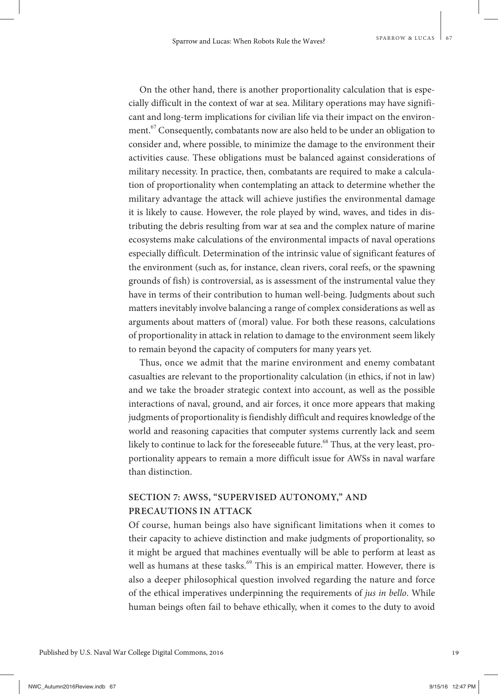On the other hand, there is another proportionality calculation that is especially difficult in the context of war at sea. Military operations may have significant and long-term implications for civilian life via their impact on the environment.<sup>67</sup> Consequently, combatants now are also held to be under an obligation to consider and, where possible, to minimize the damage to the environment their activities cause. These obligations must be balanced against considerations of military necessity. In practice, then, combatants are required to make a calculation of proportionality when contemplating an attack to determine whether the military advantage the attack will achieve justifies the environmental damage it is likely to cause. However, the role played by wind, waves, and tides in distributing the debris resulting from war at sea and the complex nature of marine ecosystems make calculations of the environmental impacts of naval operations especially difficult. Determination of the intrinsic value of significant features of the environment (such as, for instance, clean rivers, coral reefs, or the spawning grounds of fish) is controversial, as is assessment of the instrumental value they have in terms of their contribution to human well-being. Judgments about such matters inevitably involve balancing a range of complex considerations as well as arguments about matters of (moral) value. For both these reasons, calculations of proportionality in attack in relation to damage to the environment seem likely to remain beyond the capacity of computers for many years yet.

Thus, once we admit that the marine environment and enemy combatant casualties are relevant to the proportionality calculation (in ethics, if not in law) and we take the broader strategic context into account, as well as the possible interactions of naval, ground, and air forces, it once more appears that making judgments of proportionality is fiendishly difficult and requires knowledge of the world and reasoning capacities that computer systems currently lack and seem likely to continue to lack for the foreseeable future.<sup>68</sup> Thus, at the very least, proportionality appears to remain a more difficult issue for AWSs in naval warfare than distinction.

## **SECTION 7: AWSS, "SUPERVISED AUTONOMY," AND PRECAUTIONS IN ATTACK**

Of course, human beings also have significant limitations when it comes to their capacity to achieve distinction and make judgments of proportionality, so it might be argued that machines eventually will be able to perform at least as well as humans at these tasks.<sup>69</sup> This is an empirical matter. However, there is also a deeper philosophical question involved regarding the nature and force of the ethical imperatives underpinning the requirements of *jus in bello*. While human beings often fail to behave ethically, when it comes to the duty to avoid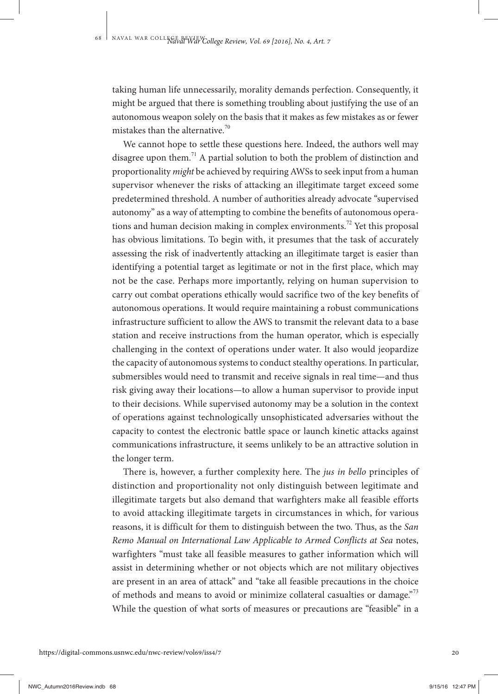taking human life unnecessarily, morality demands perfection. Consequently, it might be argued that there is something troubling about justifying the use of an autonomous weapon solely on the basis that it makes as few mistakes as or fewer mistakes than the alternative.<sup>70</sup>

We cannot hope to settle these questions here. Indeed, the authors well may disagree upon them.<sup>71</sup> A partial solution to both the problem of distinction and proportionality *might* be achieved by requiring AWSs to seek input from a human supervisor whenever the risks of attacking an illegitimate target exceed some predetermined threshold. A number of authorities already advocate "supervised autonomy" as a way of attempting to combine the benefits of autonomous operations and human decision making in complex environments.<sup>72</sup> Yet this proposal has obvious limitations. To begin with, it presumes that the task of accurately assessing the risk of inadvertently attacking an illegitimate target is easier than identifying a potential target as legitimate or not in the first place, which may not be the case. Perhaps more importantly, relying on human supervision to carry out combat operations ethically would sacrifice two of the key benefits of autonomous operations. It would require maintaining a robust communications infrastructure sufficient to allow the AWS to transmit the relevant data to a base station and receive instructions from the human operator, which is especially challenging in the context of operations under water. It also would jeopardize the capacity of autonomous systems to conduct stealthy operations. In particular, submersibles would need to transmit and receive signals in real time—and thus risk giving away their locations—to allow a human supervisor to provide input to their decisions. While supervised autonomy may be a solution in the context of operations against technologically unsophisticated adversaries without the capacity to contest the electronic battle space or launch kinetic attacks against communications infrastructure, it seems unlikely to be an attractive solution in the longer term.

There is, however, a further complexity here. The *jus in bello* principles of distinction and proportionality not only distinguish between legitimate and illegitimate targets but also demand that warfighters make all feasible efforts to avoid attacking illegitimate targets in circumstances in which, for various reasons, it is difficult for them to distinguish between the two. Thus, as the *San Remo Manual on International Law Applicable to Armed Conflicts at Sea* notes, warfighters "must take all feasible measures to gather information which will assist in determining whether or not objects which are not military objectives are present in an area of attack" and "take all feasible precautions in the choice of methods and means to avoid or minimize collateral casualties or damage.<sup>"73</sup> While the question of what sorts of measures or precautions are "feasible" in a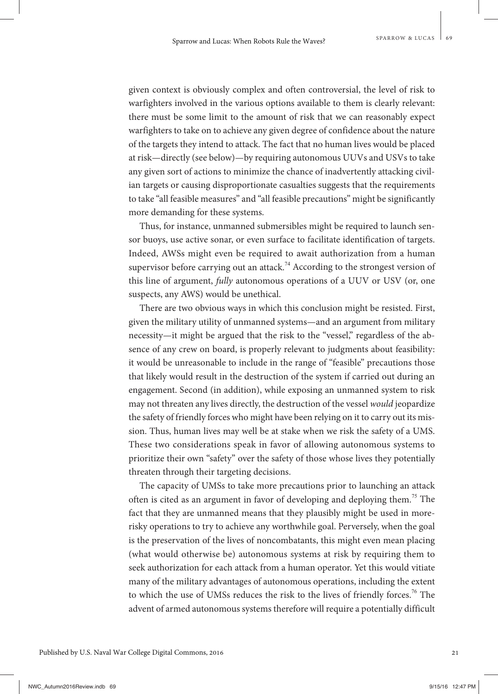given context is obviously complex and often controversial, the level of risk to warfighters involved in the various options available to them is clearly relevant: there must be some limit to the amount of risk that we can reasonably expect warfighters to take on to achieve any given degree of confidence about the nature of the targets they intend to attack. The fact that no human lives would be placed at risk—directly (see below)—by requiring autonomous UUVs and USVs to take any given sort of actions to minimize the chance of inadvertently attacking civilian targets or causing disproportionate casualties suggests that the requirements to take "all feasible measures" and "all feasible precautions" might be significantly more demanding for these systems.

Thus, for instance, unmanned submersibles might be required to launch sensor buoys, use active sonar, or even surface to facilitate identification of targets. Indeed, AWSs might even be required to await authorization from a human supervisor before carrying out an attack.<sup>74</sup> According to the strongest version of this line of argument, *fully* autonomous operations of a UUV or USV (or, one suspects, any AWS) would be unethical.

There are two obvious ways in which this conclusion might be resisted. First, given the military utility of unmanned systems—and an argument from military necessity—it might be argued that the risk to the "vessel," regardless of the absence of any crew on board, is properly relevant to judgments about feasibility: it would be unreasonable to include in the range of "feasible" precautions those that likely would result in the destruction of the system if carried out during an engagement. Second (in addition), while exposing an unmanned system to risk may not threaten any lives directly, the destruction of the vessel *would* jeopardize the safety of friendly forces who might have been relying on it to carry out its mission. Thus, human lives may well be at stake when we risk the safety of a UMS. These two considerations speak in favor of allowing autonomous systems to prioritize their own "safety" over the safety of those whose lives they potentially threaten through their targeting decisions.

The capacity of UMSs to take more precautions prior to launching an attack often is cited as an argument in favor of developing and deploying them.<sup>75</sup> The fact that they are unmanned means that they plausibly might be used in morerisky operations to try to achieve any worthwhile goal. Perversely, when the goal is the preservation of the lives of noncombatants, this might even mean placing (what would otherwise be) autonomous systems at risk by requiring them to seek authorization for each attack from a human operator. Yet this would vitiate many of the military advantages of autonomous operations, including the extent to which the use of UMSs reduces the risk to the lives of friendly forces.<sup>76</sup> The advent of armed autonomous systems therefore will require a potentially difficult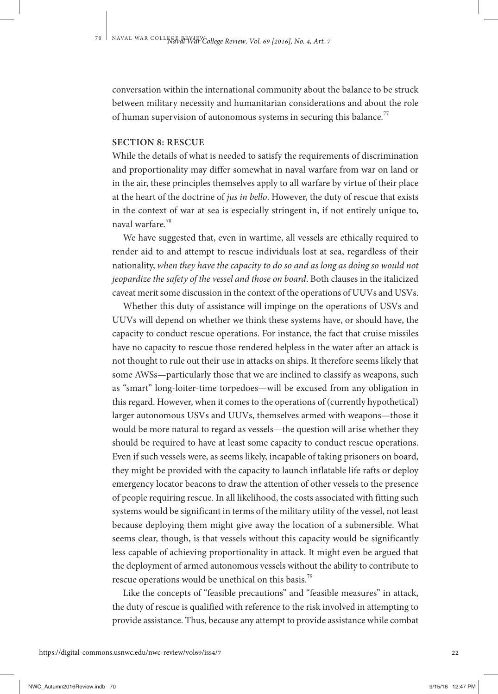conversation within the international community about the balance to be struck between military necessity and humanitarian considerations and about the role of human supervision of autonomous systems in securing this balance.<sup>77</sup>

#### **SECTION 8: RESCUE**

While the details of what is needed to satisfy the requirements of discrimination and proportionality may differ somewhat in naval warfare from war on land or in the air, these principles themselves apply to all warfare by virtue of their place at the heart of the doctrine of *jus in bello*. However, the duty of rescue that exists in the context of war at sea is especially stringent in, if not entirely unique to, naval warfare.<sup>78</sup>

We have suggested that, even in wartime, all vessels are ethically required to render aid to and attempt to rescue individuals lost at sea, regardless of their nationality, *when they have the capacity to do so and as long as doing so would not jeopardize the safety of the vessel and those on board*. Both clauses in the italicized caveat merit some discussion in the context of the operations of UUVs and USVs.

Whether this duty of assistance will impinge on the operations of USVs and UUVs will depend on whether we think these systems have, or should have, the capacity to conduct rescue operations. For instance, the fact that cruise missiles have no capacity to rescue those rendered helpless in the water after an attack is not thought to rule out their use in attacks on ships. It therefore seems likely that some AWSs—particularly those that we are inclined to classify as weapons, such as "smart" long-loiter-time torpedoes—will be excused from any obligation in this regard. However, when it comes to the operations of (currently hypothetical) larger autonomous USVs and UUVs, themselves armed with weapons—those it would be more natural to regard as vessels—the question will arise whether they should be required to have at least some capacity to conduct rescue operations. Even if such vessels were, as seems likely, incapable of taking prisoners on board, they might be provided with the capacity to launch inflatable life rafts or deploy emergency locator beacons to draw the attention of other vessels to the presence of people requiring rescue. In all likelihood, the costs associated with fitting such systems would be significant in terms of the military utility of the vessel, not least because deploying them might give away the location of a submersible. What seems clear, though, is that vessels without this capacity would be significantly less capable of achieving proportionality in attack. It might even be argued that the deployment of armed autonomous vessels without the ability to contribute to rescue operations would be unethical on this basis.<sup>79</sup>

Like the concepts of "feasible precautions" and "feasible measures" in attack, the duty of rescue is qualified with reference to the risk involved in attempting to provide assistance. Thus, because any attempt to provide assistance while combat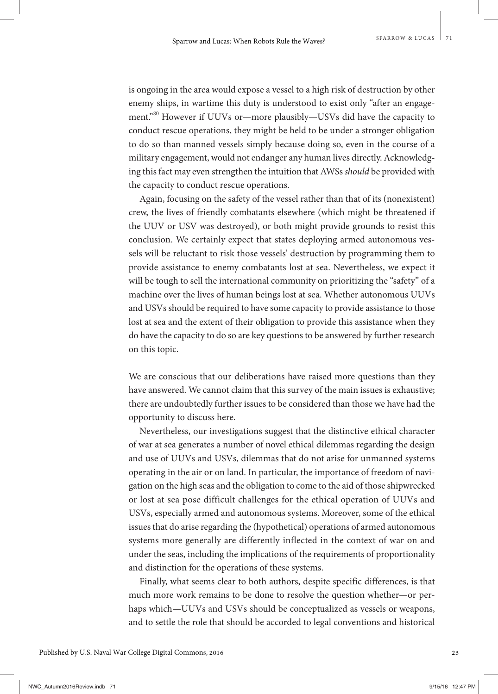is ongoing in the area would expose a vessel to a high risk of destruction by other enemy ships, in wartime this duty is understood to exist only "after an engagement."<sup>80</sup> However if UUVs or-more plausibly-USVs did have the capacity to conduct rescue operations, they might be held to be under a stronger obligation to do so than manned vessels simply because doing so, even in the course of a military engagement, would not endanger any human lives directly. Acknowledging this fact may even strengthen the intuition that AWSs *should* be provided with the capacity to conduct rescue operations.

Again, focusing on the safety of the vessel rather than that of its (nonexistent) crew, the lives of friendly combatants elsewhere (which might be threatened if the UUV or USV was destroyed), or both might provide grounds to resist this conclusion. We certainly expect that states deploying armed autonomous vessels will be reluctant to risk those vessels' destruction by programming them to provide assistance to enemy combatants lost at sea. Nevertheless, we expect it will be tough to sell the international community on prioritizing the "safety" of a machine over the lives of human beings lost at sea. Whether autonomous UUVs and USVs should be required to have some capacity to provide assistance to those lost at sea and the extent of their obligation to provide this assistance when they do have the capacity to do so are key questions to be answered by further research on this topic.

We are conscious that our deliberations have raised more questions than they have answered. We cannot claim that this survey of the main issues is exhaustive; there are undoubtedly further issues to be considered than those we have had the opportunity to discuss here.

Nevertheless, our investigations suggest that the distinctive ethical character of war at sea generates a number of novel ethical dilemmas regarding the design and use of UUVs and USVs, dilemmas that do not arise for unmanned systems operating in the air or on land. In particular, the importance of freedom of navigation on the high seas and the obligation to come to the aid of those shipwrecked or lost at sea pose difficult challenges for the ethical operation of UUVs and USVs, especially armed and autonomous systems. Moreover, some of the ethical issues that do arise regarding the (hypothetical) operations of armed autonomous systems more generally are differently inflected in the context of war on and under the seas, including the implications of the requirements of proportionality and distinction for the operations of these systems.

Finally, what seems clear to both authors, despite specific differences, is that much more work remains to be done to resolve the question whether—or perhaps which—UUVs and USVs should be conceptualized as vessels or weapons, and to settle the role that should be accorded to legal conventions and historical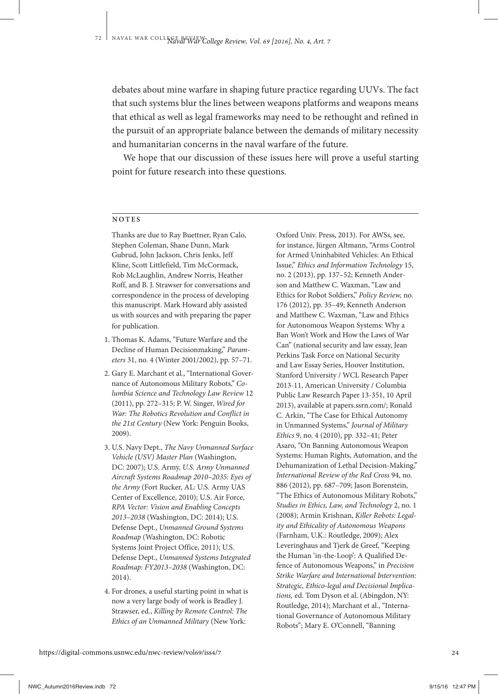debates about mine warfare in shaping future practice regarding UUVs. The fact that such systems blur the lines between weapons platforms and weapons means that ethical as well as legal frameworks may need to be rethought and refined in the pursuit of an appropriate balance between the demands of military necessity and humanitarian concerns in the naval warfare of the future.

We hope that our discussion of these issues here will prove a useful starting point for future research into these questions.

#### **NOTES**

 Thanks are due to Ray Buettner, Ryan Calo, Stephen Coleman, Shane Dunn, Mark Gubrud, John Jackson, Chris Jenks, Jeff Kline, Scott Littlefield, Tim McCormack, Rob McLaughlin, Andrew Norris, Heather Roff, and B. J. Strawser for conversations and correspondence in the process of developing this manuscript. Mark Howard ably assisted us with sources and with preparing the paper for publication.

- 1. Thomas K. Adams, "Future Warfare and the Decline of Human Decisionmaking," *Parameters* 31, no. 4 (Winter 2001/2002), pp. 57–71.
- 2. Gary E. Marchant et al., "International Governance of Autonomous Military Robots," *Columbia Science and Technology Law Review* 12 (2011), pp. 272–315; P. W. Singer, *Wired for War: The Robotics Revolution and Conflict in the 21st Century* (New York: Penguin Books, 2009).
- 3. U.S. Navy Dept., *The Navy Unmanned Surface Vehicle (USV) Master Plan* (Washington, DC: 2007); U.S. Army, *U.S. Army Unmanned Aircraft Systems Roadmap 2010–2035: Eyes of the Army* (Fort Rucker, AL: U.S. Army UAS Center of Excellence, 2010); U.S. Air Force, *RPA Vector: Vision and Enabling Concepts 2013–2038* (Washington, DC: 2014); U.S. Defense Dept., *Unmanned Ground Systems Roadmap* (Washington, DC: Robotic Systems Joint Project Office, 2011); U.S. Defense Dept., *Unmanned Systems Integrated Roadmap: FY2013–2038* (Washington, DC: 2014).
- 4. For drones, a useful starting point in what is now a very large body of work is Bradley J. Strawser, ed., *Killing by Remote Control: The Ethics of an Unmanned Military* (New York:

Oxford Univ. Press, 2013). For AWSs, see, for instance, Jürgen Altmann, "Arms Control for Armed Uninhabited Vehicles: An Ethical Issue," *Ethics and Information Technology* 15, no. 2 (2013), pp. 137–52; Kenneth Anderson and Matthew C. Waxman, "Law and Ethics for Robot Soldiers," *Policy Review,* no. 176 (2012), pp. 35–49; Kenneth Anderson and Matthew C. Waxman, "Law and Ethics for Autonomous Weapon Systems: Why a Ban Won't Work and How the Laws of War Can" (national security and law essay, Jean Perkins Task Force on National Security and Law Essay Series, Hoover Institution, Stanford University / WCL Research Paper 2013-11, American University / Columbia Public Law Research Paper 13-351, 10 April 2013), available at papers.ssrn.com/; Ronald C. Arkin, "The Case for Ethical Autonomy in Unmanned Systems," *Journal of Military Ethics* 9, no. 4 (2010), pp. 332–41; Peter Asaro, "On Banning Autonomous Weapon Systems: Human Rights, Automation, and the Dehumanization of Lethal Decision-Making," *International Review of the Red Cross* 94, no. 886 (2012), pp. 687–709; Jason Borenstein, "The Ethics of Autonomous Military Robots," *Studies in Ethics, Law, and Technology* 2, no. 1 (2008); Armin Krishnan, *Killer Robots: Legality and Ethicality of Autonomous Weapons* (Farnham, U.K.: Routledge, 2009); Alex Leveringhaus and Tjerk de Greef, "Keeping the Human 'in-the-Loop': A Qualified Defence of Autonomous Weapons," in *Precision Strike Warfare and International Intervention: Strategic, Ethico-legal and Decisional Implications,* ed. Tom Dyson et al. (Abingdon, NY: Routledge, 2014); Marchant et al., "International Governance of Autonomous Military Robots"; Mary E. O'Connell, "Banning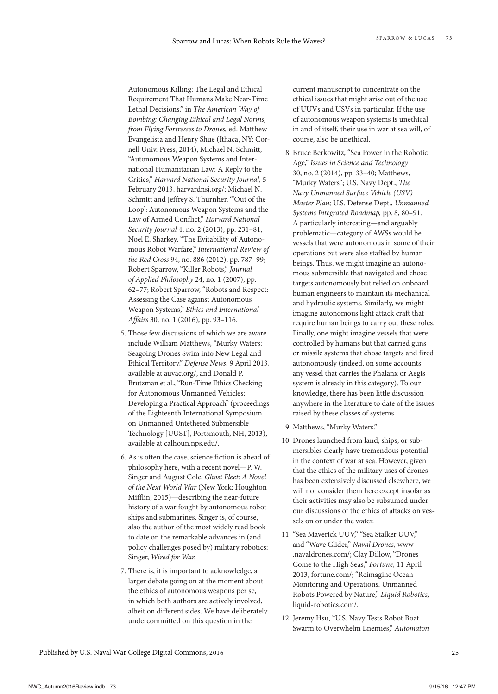Autonomous Killing: The Legal and Ethical Requirement That Humans Make Near-Time Lethal Decisions," in *The American Way of Bombing: Changing Ethical and Legal Norms, from Flying Fortresses to Drones,* ed. Matthew Evangelista and Henry Shue (Ithaca, NY: Cornell Univ. Press, 2014); Michael N. Schmitt, "Autonomous Weapon Systems and International Humanitarian Law: A Reply to the Critics," *Harvard National Security Journal,* 5 February 2013, harvardnsj.org/; Michael N. Schmitt and Jeffrey S. Thurnher, "'Out of the Loop': Autonomous Weapon Systems and the Law of Armed Conflict," *Harvard National Security Journal* 4, no. 2 (2013), pp. 231–81; Noel E. Sharkey, "The Evitability of Autonomous Robot Warfare," *International Review of the Red Cross* 94, no. 886 (2012), pp. 787–99; Robert Sparrow, "Killer Robots," *Journal of Applied Philosophy* 24, no. 1 (2007), pp. 62–77; Robert Sparrow, "Robots and Respect: Assessing the Case against Autonomous Weapon Systems," *Ethics and International Affairs* 30, no. 1 (2016), pp. 93–116.

- 5. Those few discussions of which we are aware include William Matthews, "Murky Waters: Seagoing Drones Swim into New Legal and Ethical Territory," *Defense News,* 9 April 2013, available at auvac.org/, and Donald P. Brutzman et al., "Run-Time Ethics Checking for Autonomous Unmanned Vehicles: Developing a Practical Approach" (proceedings of the Eighteenth International Symposium on Unmanned Untethered Submersible Technology [UUST], Portsmouth, NH, 2013), available at calhoun.nps.edu/.
- 6. As is often the case, science fiction is ahead of philosophy here, with a recent novel—P. W. Singer and August Cole, *Ghost Fleet: A Novel of the Next World War* (New York: Houghton Mifflin, 2015)—describing the near-future history of a war fought by autonomous robot ships and submarines. Singer is, of course, also the author of the most widely read book to date on the remarkable advances in (and policy challenges posed by) military robotics: Singer, *Wired for War.*
- 7. There is, it is important to acknowledge, a larger debate going on at the moment about the ethics of autonomous weapons per se, in which both authors are actively involved, albeit on different sides. We have deliberately undercommitted on this question in the

current manuscript to concentrate on the ethical issues that might arise out of the use of UUVs and USVs in particular. If the use of autonomous weapon systems is unethical in and of itself, their use in war at sea will, of course, also be unethical.

- 8. Bruce Berkowitz, "Sea Power in the Robotic Age," *Issues in Science and Technology* 30, no. 2 (2014), pp. 33–40; Matthews, "Murky Waters"; U.S. Navy Dept., *The Navy Unmanned Surface Vehicle (USV) Master Plan;* U.S. Defense Dept., *Unmanned Systems Integrated Roadmap,* pp. 8, 80–91. A particularly interesting—and arguably problematic—category of AWSs would be vessels that were autonomous in some of their operations but were also staffed by human beings. Thus, we might imagine an autonomous submersible that navigated and chose targets autonomously but relied on onboard human engineers to maintain its mechanical and hydraulic systems. Similarly, we might imagine autonomous light attack craft that require human beings to carry out these roles. Finally, one might imagine vessels that were controlled by humans but that carried guns or missile systems that chose targets and fired autonomously (indeed, on some accounts any vessel that carries the Phalanx or Aegis system is already in this category). To our knowledge, there has been little discussion anywhere in the literature to date of the issues raised by these classes of systems.
- 9. Matthews, "Murky Waters."
- 10. Drones launched from land, ships, or submersibles clearly have tremendous potential in the context of war at sea. However, given that the ethics of the military uses of drones has been extensively discussed elsewhere, we will not consider them here except insofar as their activities may also be subsumed under our discussions of the ethics of attacks on vessels on or under the water.
- 11. "Sea Maverick UUV," "Sea Stalker UUV," and "Wave Glider," *Naval Drones,* www .navaldrones.com/; Clay Dillow, "Drones Come to the High Seas," *Fortune,* 11 April 2013, fortune.com/; "Reimagine Ocean Monitoring and Operations. Unmanned Robots Powered by Nature," *Liquid Robotics,* liquid-robotics.com/.
- 12. Jeremy Hsu, "U.S. Navy Tests Robot Boat Swarm to Overwhelm Enemies," *Automaton*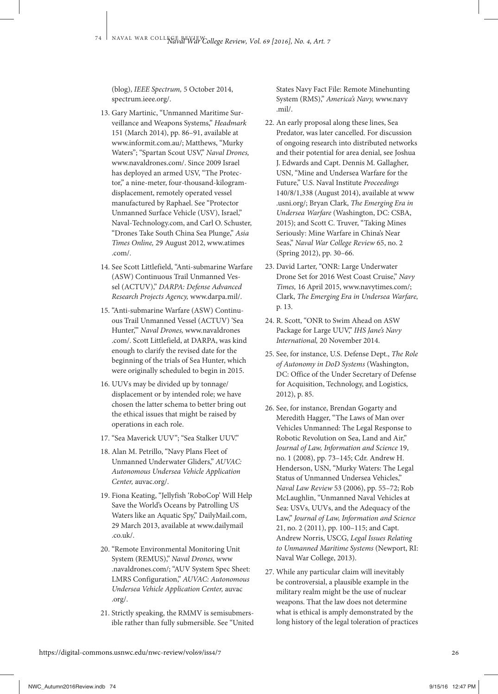(blog), *IEEE Spectrum,* 5 October 2014, spectrum.ieee.org/.

- 13. Gary Martinic, "Unmanned Maritime Surveillance and Weapons Systems," *Headmark* 151 (March 2014), pp. 86–91, available at www.informit.com.au/; Matthews, "Murky Waters"; "Spartan Scout USV," *Naval Drones,* www.navaldrones.com/. Since 2009 Israel has deployed an armed USV, "The Protector," a nine-meter, four-thousand-kilogramdisplacement, remotely operated vessel manufactured by Raphael. See "Protector Unmanned Surface Vehicle (USV), Israel," Naval-Technology.com, and Carl O. Schuster, "Drones Take South China Sea Plunge," *Asia Times Online,* 29 August 2012, www.atimes .com/.
- 14. See Scott Littlefield, "Anti-submarine Warfare (ASW) Continuous Trail Unmanned Vessel (ACTUV)," *DARPA: Defense Advanced Research Projects Agency,* www.darpa.mil/.
- 15. "Anti-submarine Warfare (ASW) Continuous Trail Unmanned Vessel (ACTUV) 'Sea Hunter,'" *Naval Drones,* www.navaldrones .com/. Scott Littlefield, at DARPA, was kind enough to clarify the revised date for the beginning of the trials of Sea Hunter, which were originally scheduled to begin in 2015.
- 16. UUVs may be divided up by tonnage/ displacement or by intended role; we have chosen the latter schema to better bring out the ethical issues that might be raised by operations in each role.
- 17. "Sea Maverick UUV"; "Sea Stalker UUV."
- 18. Alan M. Petrillo, "Navy Plans Fleet of Unmanned Underwater Gliders," *AUVAC: Autonomous Undersea Vehicle Application Center,* auvac.org/.
- 19. Fiona Keating, "Jellyfish 'RoboCop' Will Help Save the World's Oceans by Patrolling US Waters like an Aquatic Spy," DailyMail.com, 29 March 2013, available at www.dailymail  $\cot(k)$
- 20. "Remote Environmental Monitoring Unit System (REMUS)," *Naval Drones,* www .navaldrones.com/; "AUV System Spec Sheet: LMRS Configuration," *AUVAC: Autonomous Undersea Vehicle Application Center,* auvac .org/.
- 21. Strictly speaking, the RMMV is semisubmersible rather than fully submersible. See "United

States Navy Fact File: Remote Minehunting System (RMS)," *America's Navy,* www.navy .mil/.

- 22. An early proposal along these lines, Sea Predator, was later cancelled. For discussion of ongoing research into distributed networks and their potential for area denial, see Joshua J. Edwards and Capt. Dennis M. Gallagher, USN, "Mine and Undersea Warfare for the Future," U.S. Naval Institute *Proceedings* 140/8/1,338 (August 2014), available at www .usni.org/; Bryan Clark, *The Emerging Era in Undersea Warfare* (Washington, DC: CSBA, 2015); and Scott C. Truver, "Taking Mines Seriously: Mine Warfare in China's Near Seas," *Naval War College Review* 65, no. 2 (Spring 2012), pp. 30–66.
- 23. David Larter, "ONR: Large Underwater Drone Set for 2016 West Coast Cruise," *Navy Times,* 16 April 2015, www.navytimes.com/; Clark, *The Emerging Era in Undersea Warfare,* p. 13.
- 24. R. Scott, "ONR to Swim Ahead on ASW Package for Large UUV," *IHS Jane's Navy International,* 20 November 2014.
- 25. See, for instance, U.S. Defense Dept., *The Role of Autonomy in DoD Systems* (Washington, DC: Office of the Under Secretary of Defense for Acquisition, Technology, and Logistics, 2012), p. 85.
- 26. See, for instance, Brendan Gogarty and Meredith Hagger, "The Laws of Man over Vehicles Unmanned: The Legal Response to Robotic Revolution on Sea, Land and Air," *Journal of Law, Information and Science* 19, no. 1 (2008), pp. 73–145; Cdr. Andrew H. Henderson, USN, "Murky Waters: The Legal Status of Unmanned Undersea Vehicles," *Naval Law Review* 53 (2006), pp. 55–72; Rob McLaughlin, "Unmanned Naval Vehicles at Sea: USVs, UUVs, and the Adequacy of the Law," *Journal of Law, Information and Science*  21, no. 2 (2011), pp. 100–115; and Capt. Andrew Norris, USCG, *Legal Issues Relating to Unmanned Maritime Systems* (Newport, RI: Naval War College, 2013).
- 27. While any particular claim will inevitably be controversial, a plausible example in the military realm might be the use of nuclear weapons. That the law does not determine what is ethical is amply demonstrated by the long history of the legal toleration of practices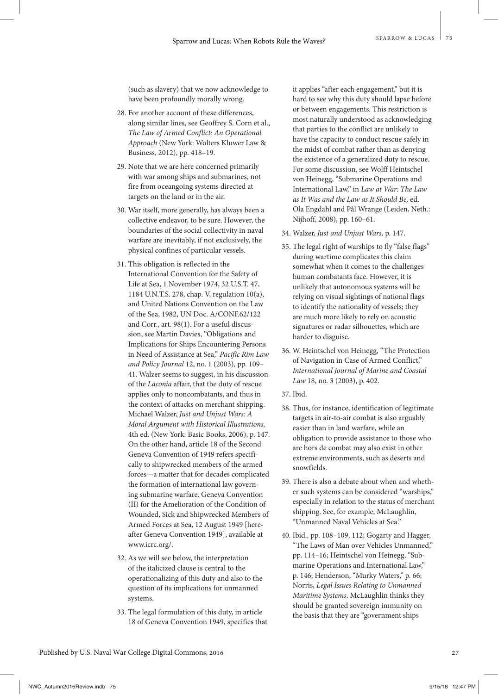(such as slavery) that we now acknowledge to have been profoundly morally wrong.

- 28. For another account of these differences, along similar lines, see Geoffrey S. Corn et al., *The Law of Armed Conflict: An Operational Approach* (New York: Wolters Kluwer Law & Business, 2012), pp. 418–19.
- 29. Note that we are here concerned primarily with war among ships and submarines, not fire from oceangoing systems directed at targets on the land or in the air.
- 30. War itself, more generally, has always been a collective endeavor, to be sure. However, the boundaries of the social collectivity in naval warfare are inevitably, if not exclusively, the physical confines of particular vessels.
- 31. This obligation is reflected in the International Convention for the Safety of Life at Sea, 1 November 1974, 32 U.S.T. 47, 1184 U.N.T.S. 278, chap. V, regulation 10(a), and United Nations Convention on the Law of the Sea, 1982, UN Doc. A/CONF.62/122 and Corr., art. 98(1). For a useful discussion, see Martin Davies, "Obligations and Implications for Ships Encountering Persons in Need of Assistance at Sea," *Pacific Rim Law and Policy Journal* 12, no. 1 (2003), pp. 109– 41. Walzer seems to suggest, in his discussion of the *Laconia* affair, that the duty of rescue applies only to noncombatants, and thus in the context of attacks on merchant shipping. Michael Walzer, *Just and Unjust Wars: A Moral Argument with Historical Illustrations,*  4th ed. (New York: Basic Books, 2006), p. 147. On the other hand, article 18 of the Second Geneva Convention of 1949 refers specifically to shipwrecked members of the armed forces—a matter that for decades complicated the formation of international law governing submarine warfare. Geneva Convention (II) for the Amelioration of the Condition of Wounded, Sick and Shipwrecked Members of Armed Forces at Sea, 12 August 1949 [hereafter Geneva Convention 1949], available at www.icrc.org/.
- 32. As we will see below, the interpretation of the italicized clause is central to the operationalizing of this duty and also to the question of its implications for unmanned systems.
- 33. The legal formulation of this duty, in article 18 of Geneva Convention 1949, specifies that

it applies "after each engagement," but it is hard to see why this duty should lapse before or between engagements. This restriction is most naturally understood as acknowledging that parties to the conflict are unlikely to have the capacity to conduct rescue safely in the midst of combat rather than as denying the existence of a generalized duty to rescue. For some discussion, see Wolff Heintschel von Heinegg, "Submarine Operations and International Law," in *Law at War: The Law as It Was and the Law as It Should Be,* ed. Ola Engdahl and Pål Wrange (Leiden, Neth.: Nijhoff, 2008), pp. 160–61.

- 34. Walzer, *Just and Unjust Wars,* p. 147.
- 35. The legal right of warships to fly "false flags" during wartime complicates this claim somewhat when it comes to the challenges human combatants face. However, it is unlikely that autonomous systems will be relying on visual sightings of national flags to identify the nationality of vessels; they are much more likely to rely on acoustic signatures or radar silhouettes, which are harder to disguise.
- 36. W. Heintschel von Heinegg, "The Protection of Navigation in Case of Armed Conflict," *International Journal of Marine and Coastal Law* 18, no. 3 (2003), p. 402.
- 37. Ibid.
- 38. Thus, for instance, identification of legitimate targets in air-to-air combat is also arguably easier than in land warfare, while an obligation to provide assistance to those who are hors de combat may also exist in other extreme environments, such as deserts and snowfields.
- 39. There is also a debate about when and whether such systems can be considered "warships," especially in relation to the status of merchant shipping. See, for example, McLaughlin, "Unmanned Naval Vehicles at Sea."
- 40. Ibid., pp. 108–109, 112; Gogarty and Hagger, "The Laws of Man over Vehicles Unmanned," pp. 114–16; Heintschel von Heinegg, "Submarine Operations and International Law," p. 146; Henderson, "Murky Waters," p. 66; Norris, *Legal Issues Relating to Unmanned Maritime Systems*. McLaughlin thinks they should be granted sovereign immunity on the basis that they are "government ships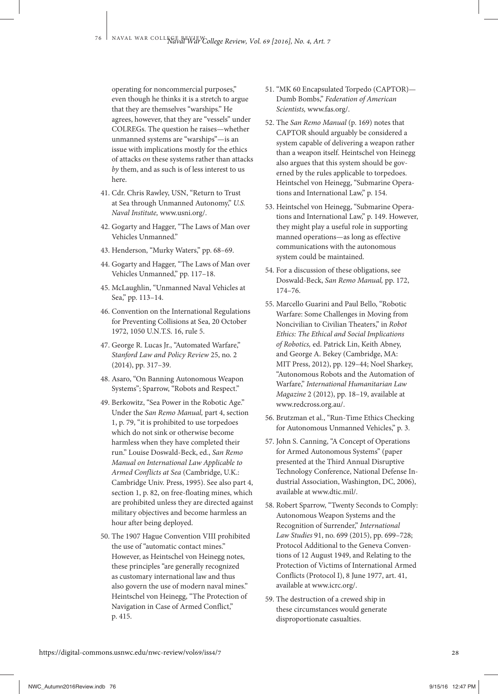operating for noncommercial purposes," even though he thinks it is a stretch to argue that they are themselves "warships." He agrees, however, that they are "vessels" under COLREGs. The question he raises—whether unmanned systems are "warships"—is an issue with implications mostly for the ethics of attacks *on* these systems rather than attacks *by* them, and as such is of less interest to us here.

- 41. Cdr. Chris Rawley, USN, "Return to Trust at Sea through Unmanned Autonomy," *U.S. Naval Institute,* www.usni.org/.
- 42. Gogarty and Hagger, "The Laws of Man over Vehicles Unmanned."
- 43. Henderson, "Murky Waters," pp. 68–69.
- 44. Gogarty and Hagger, "The Laws of Man over Vehicles Unmanned," pp. 117–18.
- 45. McLaughlin, "Unmanned Naval Vehicles at Sea," pp. 113–14.
- 46. Convention on the International Regulations for Preventing Collisions at Sea, 20 October 1972, 1050 U.N.T.S. 16, rule 5.
- 47. George R. Lucas Jr., "Automated Warfare," *Stanford Law and Policy Review* 25, no. 2 (2014), pp. 317–39.
- 48. Asaro, "On Banning Autonomous Weapon Systems"; Sparrow, "Robots and Respect."
- 49. Berkowitz, "Sea Power in the Robotic Age." Under the *San Remo Manual,* part 4, section 1, p. 79, "it is prohibited to use torpedoes which do not sink or otherwise become harmless when they have completed their run." Louise Doswald-Beck, ed., *San Remo Manual on International Law Applicable to Armed Conflicts at Sea* (Cambridge, U.K.: Cambridge Univ. Press, 1995). See also part 4, section 1, p. 82, on free-floating mines, which are prohibited unless they are directed against military objectives and become harmless an hour after being deployed.
- 50. The 1907 Hague Convention VIII prohibited the use of "automatic contact mines." However, as Heintschel von Heinegg notes, these principles "are generally recognized as customary international law and thus also govern the use of modern naval mines." Heintschel von Heinegg, "The Protection of Navigation in Case of Armed Conflict," p. 415.
- 51. "MK 60 Encapsulated Torpedo (CAPTOR)— Dumb Bombs," *Federation of American Scientists,* www.fas.org/.
- 52. The *San Remo Manual* (p. 169) notes that CAPTOR should arguably be considered a system capable of delivering a weapon rather than a weapon itself. Heintschel von Heinegg also argues that this system should be governed by the rules applicable to torpedoes. Heintschel von Heinegg, "Submarine Operations and International Law," p. 154.
- 53. Heintschel von Heinegg, "Submarine Operations and International Law," p. 149. However, they might play a useful role in supporting manned operations—as long as effective communications with the autonomous system could be maintained.
- 54. For a discussion of these obligations, see Doswald-Beck, *San Remo Manual,* pp. 172, 174–76.
- 55. Marcello Guarini and Paul Bello, "Robotic Warfare: Some Challenges in Moving from Noncivilian to Civilian Theaters," in *Robot Ethics: The Ethical and Social Implications of Robotics,* ed. Patrick Lin, Keith Abney, and George A. Bekey (Cambridge, MA: MIT Press, 2012), pp. 129–44; Noel Sharkey, "Autonomous Robots and the Automation of Warfare," *International Humanitarian Law Magazine* 2 (2012), pp. 18–19, available at www.redcross.org.au/.
- 56. Brutzman et al., "Run-Time Ethics Checking for Autonomous Unmanned Vehicles," p. 3.
- 57. John S. Canning, "A Concept of Operations for Armed Autonomous Systems" (paper presented at the Third Annual Disruptive Technology Conference, National Defense Industrial Association, Washington, DC, 2006), available at www.dtic.mil/.
- 58. Robert Sparrow, "Twenty Seconds to Comply: Autonomous Weapon Systems and the Recognition of Surrender," *International Law Studies* 91, no. 699 (2015), pp. 699–728; Protocol Additional to the Geneva Conventions of 12 August 1949, and Relating to the Protection of Victims of International Armed Conflicts (Protocol I), 8 June 1977, art. 41, available at www.icrc.org/.
- 59. The destruction of a crewed ship in these circumstances would generate disproportionate casualties.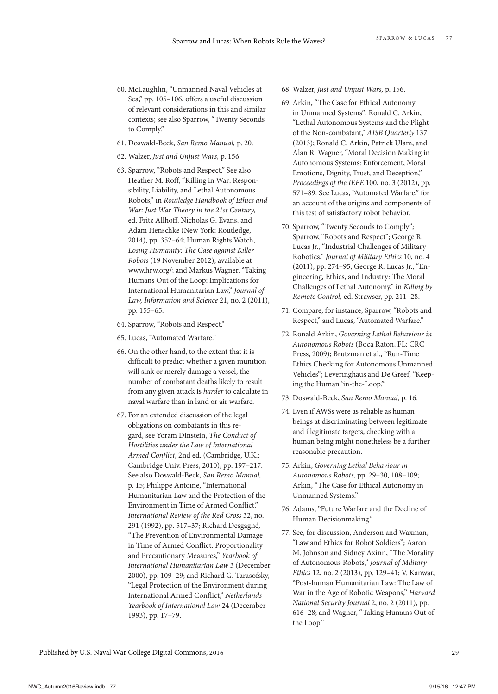- 60. McLaughlin, "Unmanned Naval Vehicles at Sea," pp. 105–106, offers a useful discussion of relevant considerations in this and similar contexts; see also Sparrow, "Twenty Seconds to Comply."
- 61. Doswald-Beck, *San Remo Manual,* p. 20.
- 62. Walzer, *Just and Unjust Wars,* p. 156.
- 63. Sparrow, "Robots and Respect." See also Heather M. Roff, "Killing in War: Responsibility, Liability, and Lethal Autonomous Robots," in *Routledge Handbook of Ethics and War: Just War Theory in the 21st Century,* ed. Fritz Allhoff, Nicholas G. Evans, and Adam Henschke (New York: Routledge, 2014), pp. 352–64; Human Rights Watch, *Losing Humanity: The Case against Killer Robots* (19 November 2012), available at www.hrw.org/; and Markus Wagner, "Taking Humans Out of the Loop: Implications for International Humanitarian Law," *Journal of Law, Information and Science* 21, no. 2 (2011), pp. 155–65.
- 64. Sparrow, "Robots and Respect."
- 65. Lucas, "Automated Warfare."
- 66. On the other hand, to the extent that it is difficult to predict whether a given munition will sink or merely damage a vessel, the number of combatant deaths likely to result from any given attack is *harder* to calculate in naval warfare than in land or air warfare.
- 67. For an extended discussion of the legal obligations on combatants in this regard, see Yoram Dinstein, *The Conduct of Hostilities under the Law of International Armed Conflict,* 2nd ed. (Cambridge, U.K.: Cambridge Univ. Press, 2010), pp. 197–217. See also Doswald-Beck, *San Remo Manual,* p. 15; Philippe Antoine, "International Humanitarian Law and the Protection of the Environment in Time of Armed Conflict," *International Review of the Red Cross* 32, no. 291 (1992), pp. 517–37; Richard Desgagné, "The Prevention of Environmental Damage in Time of Armed Conflict: Proportionality and Precautionary Measures," *Yearbook of International Humanitarian Law* 3 (December 2000), pp. 109–29; and Richard G. Tarasofsky, "Legal Protection of the Environment during International Armed Conflict," *Netherlands Yearbook of International Law* 24 (December 1993), pp. 17–79.
- 68. Walzer, *Just and Unjust Wars,* p. 156.
- 69. Arkin, "The Case for Ethical Autonomy in Unmanned Systems"; Ronald C. Arkin, "Lethal Autonomous Systems and the Plight of the Non-combatant," *AISB Quarterly* 137 (2013); Ronald C. Arkin, Patrick Ulam, and Alan R. Wagner, "Moral Decision Making in Autonomous Systems: Enforcement, Moral Emotions, Dignity, Trust, and Deception," *Proceedings of the IEEE* 100, no. 3 (2012), pp. 571–89. See Lucas, "Automated Warfare," for an account of the origins and components of this test of satisfactory robot behavior.
- 70. Sparrow, "Twenty Seconds to Comply"; Sparrow, "Robots and Respect"; George R. Lucas Jr., "Industrial Challenges of Military Robotics," *Journal of Military Ethics* 10, no. 4 (2011), pp. 274–95; George R. Lucas Jr., "Engineering, Ethics, and Industry: The Moral Challenges of Lethal Autonomy," in *Killing by Remote Control,* ed. Strawser, pp. 211–28.
- 71. Compare, for instance, Sparrow, "Robots and Respect," and Lucas, "Automated Warfare."
- 72. Ronald Arkin, *Governing Lethal Behaviour in Autonomous Robots* (Boca Raton, FL: CRC Press, 2009); Brutzman et al., "Run-Time Ethics Checking for Autonomous Unmanned Vehicles"; Leveringhaus and De Greef, "Keeping the Human 'in-the-Loop.'"
- 73. Doswald-Beck, *San Remo Manual,* p. 16.
- 74. Even if AWSs were as reliable as human beings at discriminating between legitimate and illegitimate targets, checking with a human being might nonetheless be a further reasonable precaution.
- 75. Arkin, *Governing Lethal Behaviour in Autonomous Robots,* pp. 29–30, 108–109; Arkin, "The Case for Ethical Autonomy in Unmanned Systems."
- 76. Adams, "Future Warfare and the Decline of Human Decisionmaking."
- 77. See, for discussion, Anderson and Waxman, "Law and Ethics for Robot Soldiers"; Aaron M. Johnson and Sidney Axinn, "The Morality of Autonomous Robots," *Journal of Military Ethics* 12, no. 2 (2013), pp. 129–41; V. Kanwar, "Post-human Humanitarian Law: The Law of War in the Age of Robotic Weapons," *Harvard National Security Journal* 2, no. 2 (2011), pp. 616–28; and Wagner, "Taking Humans Out of the Loop."